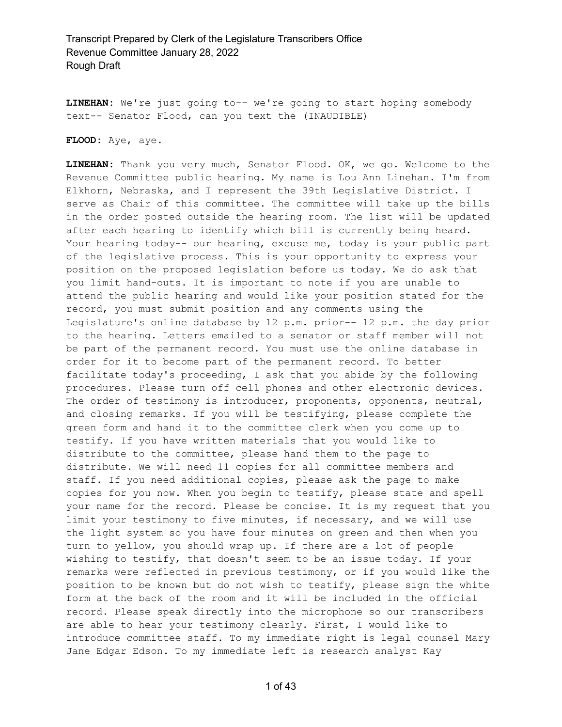**LINEHAN:** We're just going to-- we're going to start hoping somebody text-- Senator Flood, can you text the (INAUDIBLE)

**FLOOD:** Aye, aye.

**LINEHAN:** Thank you very much, Senator Flood. OK, we go. Welcome to the Revenue Committee public hearing. My name is Lou Ann Linehan. I'm from Elkhorn, Nebraska, and I represent the 39th Legislative District. I serve as Chair of this committee. The committee will take up the bills in the order posted outside the hearing room. The list will be updated after each hearing to identify which bill is currently being heard. Your hearing today-- our hearing, excuse me, today is your public part of the legislative process. This is your opportunity to express your position on the proposed legislation before us today. We do ask that you limit hand-outs. It is important to note if you are unable to attend the public hearing and would like your position stated for the record, you must submit position and any comments using the Legislature's online database by 12 p.m. prior-- 12 p.m. the day prior to the hearing. Letters emailed to a senator or staff member will not be part of the permanent record. You must use the online database in order for it to become part of the permanent record. To better facilitate today's proceeding, I ask that you abide by the following procedures. Please turn off cell phones and other electronic devices. The order of testimony is introducer, proponents, opponents, neutral, and closing remarks. If you will be testifying, please complete the green form and hand it to the committee clerk when you come up to testify. If you have written materials that you would like to distribute to the committee, please hand them to the page to distribute. We will need 11 copies for all committee members and staff. If you need additional copies, please ask the page to make copies for you now. When you begin to testify, please state and spell your name for the record. Please be concise. It is my request that you limit your testimony to five minutes, if necessary, and we will use the light system so you have four minutes on green and then when you turn to yellow, you should wrap up. If there are a lot of people wishing to testify, that doesn't seem to be an issue today. If your remarks were reflected in previous testimony, or if you would like the position to be known but do not wish to testify, please sign the white form at the back of the room and it will be included in the official record. Please speak directly into the microphone so our transcribers are able to hear your testimony clearly. First, I would like to introduce committee staff. To my immediate right is legal counsel Mary Jane Edgar Edson. To my immediate left is research analyst Kay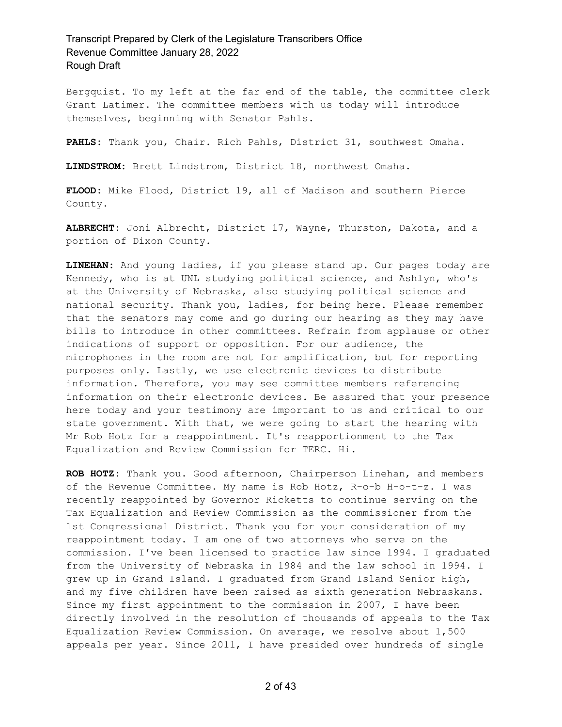Bergquist. To my left at the far end of the table, the committee clerk Grant Latimer. The committee members with us today will introduce themselves, beginning with Senator Pahls.

**PAHLS:** Thank you, Chair. Rich Pahls, District 31, southwest Omaha.

**LINDSTROM:** Brett Lindstrom, District 18, northwest Omaha.

**FLOOD:** Mike Flood, District 19, all of Madison and southern Pierce County.

**ALBRECHT:** Joni Albrecht, District 17, Wayne, Thurston, Dakota, and a portion of Dixon County.

**LINEHAN:** And young ladies, if you please stand up. Our pages today are Kennedy, who is at UNL studying political science, and Ashlyn, who's at the University of Nebraska, also studying political science and national security. Thank you, ladies, for being here. Please remember that the senators may come and go during our hearing as they may have bills to introduce in other committees. Refrain from applause or other indications of support or opposition. For our audience, the microphones in the room are not for amplification, but for reporting purposes only. Lastly, we use electronic devices to distribute information. Therefore, you may see committee members referencing information on their electronic devices. Be assured that your presence here today and your testimony are important to us and critical to our state government. With that, we were going to start the hearing with Mr Rob Hotz for a reappointment. It's reapportionment to the Tax Equalization and Review Commission for TERC. Hi.

**ROB HOTZ:** Thank you. Good afternoon, Chairperson Linehan, and members of the Revenue Committee. My name is Rob Hotz, R-o-b H-o-t-z. I was recently reappointed by Governor Ricketts to continue serving on the Tax Equalization and Review Commission as the commissioner from the 1st Congressional District. Thank you for your consideration of my reappointment today. I am one of two attorneys who serve on the commission. I've been licensed to practice law since 1994. I graduated from the University of Nebraska in 1984 and the law school in 1994. I grew up in Grand Island. I graduated from Grand Island Senior High, and my five children have been raised as sixth generation Nebraskans. Since my first appointment to the commission in 2007, I have been directly involved in the resolution of thousands of appeals to the Tax Equalization Review Commission. On average, we resolve about 1,500 appeals per year. Since 2011, I have presided over hundreds of single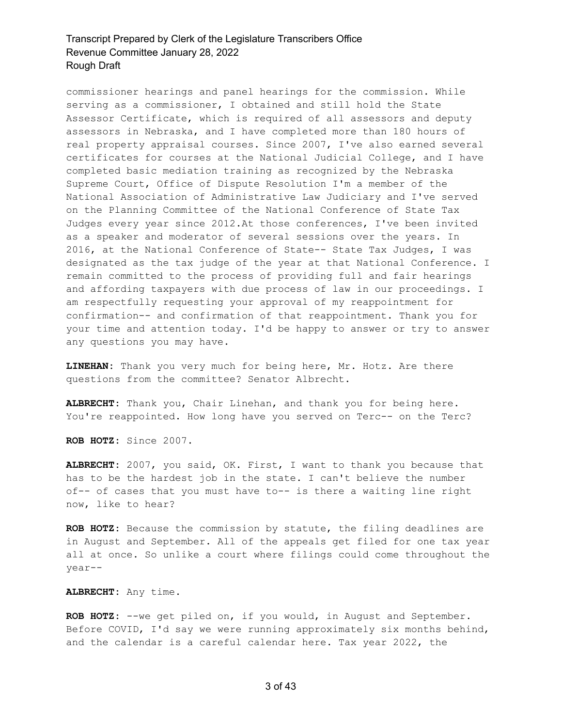commissioner hearings and panel hearings for the commission. While serving as a commissioner, I obtained and still hold the State Assessor Certificate, which is required of all assessors and deputy assessors in Nebraska, and I have completed more than 180 hours of real property appraisal courses. Since 2007, I've also earned several certificates for courses at the National Judicial College, and I have completed basic mediation training as recognized by the Nebraska Supreme Court, Office of Dispute Resolution I'm a member of the National Association of Administrative Law Judiciary and I've served on the Planning Committee of the National Conference of State Tax Judges every year since 2012.At those conferences, I've been invited as a speaker and moderator of several sessions over the years. In 2016, at the National Conference of State-- State Tax Judges, I was designated as the tax judge of the year at that National Conference. I remain committed to the process of providing full and fair hearings and affording taxpayers with due process of law in our proceedings. I am respectfully requesting your approval of my reappointment for confirmation-- and confirmation of that reappointment. Thank you for your time and attention today. I'd be happy to answer or try to answer any questions you may have.

**LINEHAN:** Thank you very much for being here, Mr. Hotz. Are there questions from the committee? Senator Albrecht.

**ALBRECHT:** Thank you, Chair Linehan, and thank you for being here. You're reappointed. How long have you served on Terc-- on the Terc?

**ROB HOTZ:** Since 2007.

**ALBRECHT:** 2007, you said, OK. First, I want to thank you because that has to be the hardest job in the state. I can't believe the number of-- of cases that you must have to-- is there a waiting line right now, like to hear?

**ROB HOTZ:** Because the commission by statute, the filing deadlines are in August and September. All of the appeals get filed for one tax year all at once. So unlike a court where filings could come throughout the year--

**ALBRECHT:** Any time.

**ROB HOTZ:** --we get piled on, if you would, in August and September. Before COVID, I'd say we were running approximately six months behind, and the calendar is a careful calendar here. Tax year 2022, the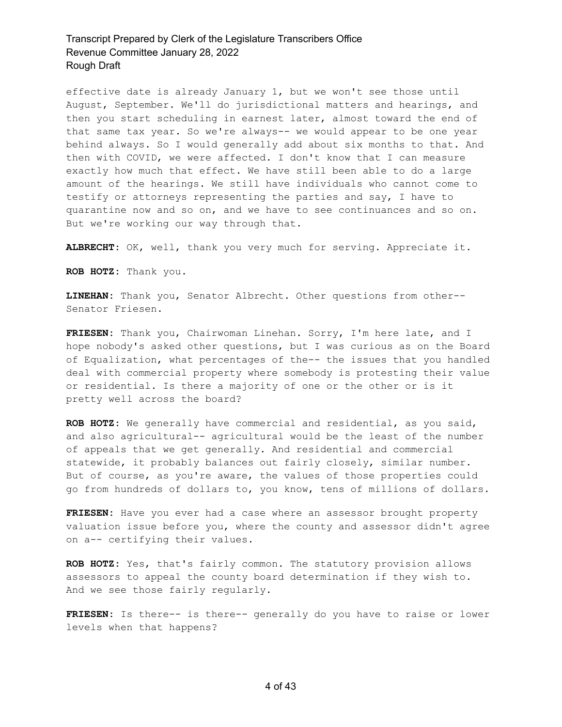effective date is already January 1, but we won't see those until August, September. We'll do jurisdictional matters and hearings, and then you start scheduling in earnest later, almost toward the end of that same tax year. So we're always-- we would appear to be one year behind always. So I would generally add about six months to that. And then with COVID, we were affected. I don't know that I can measure exactly how much that effect. We have still been able to do a large amount of the hearings. We still have individuals who cannot come to testify or attorneys representing the parties and say, I have to quarantine now and so on, and we have to see continuances and so on. But we're working our way through that.

**ALBRECHT:** OK, well, thank you very much for serving. Appreciate it.

**ROB HOTZ:** Thank you.

**LINEHAN:** Thank you, Senator Albrecht. Other questions from other-- Senator Friesen.

**FRIESEN:** Thank you, Chairwoman Linehan. Sorry, I'm here late, and I hope nobody's asked other questions, but I was curious as on the Board of Equalization, what percentages of the-- the issues that you handled deal with commercial property where somebody is protesting their value or residential. Is there a majority of one or the other or is it pretty well across the board?

**ROB HOTZ:** We generally have commercial and residential, as you said, and also agricultural-- agricultural would be the least of the number of appeals that we get generally. And residential and commercial statewide, it probably balances out fairly closely, similar number. But of course, as you're aware, the values of those properties could go from hundreds of dollars to, you know, tens of millions of dollars.

**FRIESEN:** Have you ever had a case where an assessor brought property valuation issue before you, where the county and assessor didn't agree on a-- certifying their values.

**ROB HOTZ:** Yes, that's fairly common. The statutory provision allows assessors to appeal the county board determination if they wish to. And we see those fairly regularly.

**FRIESEN:** Is there-- is there-- generally do you have to raise or lower levels when that happens?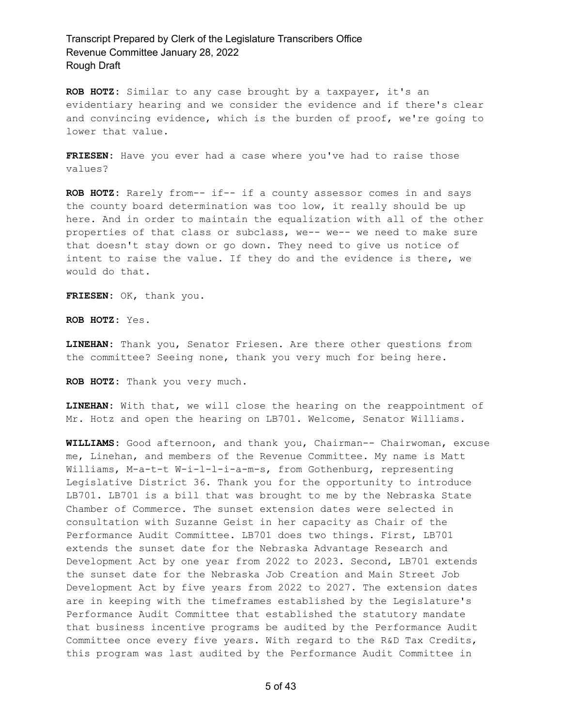**ROB HOTZ:** Similar to any case brought by a taxpayer, it's an evidentiary hearing and we consider the evidence and if there's clear and convincing evidence, which is the burden of proof, we're going to lower that value.

**FRIESEN:** Have you ever had a case where you've had to raise those values?

**ROB HOTZ:** Rarely from-- if-- if a county assessor comes in and says the county board determination was too low, it really should be up here. And in order to maintain the equalization with all of the other properties of that class or subclass, we-- we-- we need to make sure that doesn't stay down or go down. They need to give us notice of intent to raise the value. If they do and the evidence is there, we would do that.

**FRIESEN:** OK, thank you.

**ROB HOTZ:** Yes.

**LINEHAN:** Thank you, Senator Friesen. Are there other questions from the committee? Seeing none, thank you very much for being here.

**ROB HOTZ:** Thank you very much.

**LINEHAN:** With that, we will close the hearing on the reappointment of Mr. Hotz and open the hearing on LB701. Welcome, Senator Williams.

**WILLIAMS:** Good afternoon, and thank you, Chairman-- Chairwoman, excuse me, Linehan, and members of the Revenue Committee. My name is Matt Williams, M-a-t-t W-i-l-l-i-a-m-s, from Gothenburg, representing Legislative District 36. Thank you for the opportunity to introduce LB701. LB701 is a bill that was brought to me by the Nebraska State Chamber of Commerce. The sunset extension dates were selected in consultation with Suzanne Geist in her capacity as Chair of the Performance Audit Committee. LB701 does two things. First, LB701 extends the sunset date for the Nebraska Advantage Research and Development Act by one year from 2022 to 2023. Second, LB701 extends the sunset date for the Nebraska Job Creation and Main Street Job Development Act by five years from 2022 to 2027. The extension dates are in keeping with the timeframes established by the Legislature's Performance Audit Committee that established the statutory mandate that business incentive programs be audited by the Performance Audit Committee once every five years. With regard to the R&D Tax Credits, this program was last audited by the Performance Audit Committee in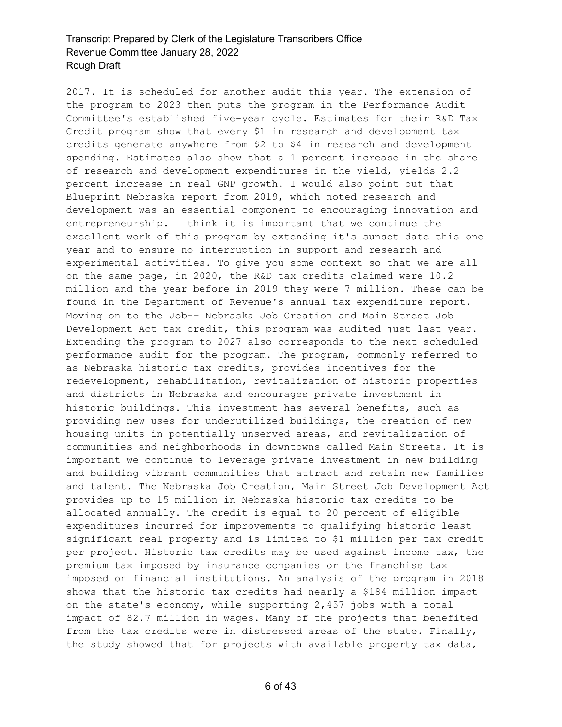2017. It is scheduled for another audit this year. The extension of the program to 2023 then puts the program in the Performance Audit Committee's established five-year cycle. Estimates for their R&D Tax Credit program show that every \$1 in research and development tax credits generate anywhere from \$2 to \$4 in research and development spending. Estimates also show that a 1 percent increase in the share of research and development expenditures in the yield, yields 2.2 percent increase in real GNP growth. I would also point out that Blueprint Nebraska report from 2019, which noted research and development was an essential component to encouraging innovation and entrepreneurship. I think it is important that we continue the excellent work of this program by extending it's sunset date this one year and to ensure no interruption in support and research and experimental activities. To give you some context so that we are all on the same page, in 2020, the R&D tax credits claimed were 10.2 million and the year before in 2019 they were 7 million. These can be found in the Department of Revenue's annual tax expenditure report. Moving on to the Job-- Nebraska Job Creation and Main Street Job Development Act tax credit, this program was audited just last year. Extending the program to 2027 also corresponds to the next scheduled performance audit for the program. The program, commonly referred to as Nebraska historic tax credits, provides incentives for the redevelopment, rehabilitation, revitalization of historic properties and districts in Nebraska and encourages private investment in historic buildings. This investment has several benefits, such as providing new uses for underutilized buildings, the creation of new housing units in potentially unserved areas, and revitalization of communities and neighborhoods in downtowns called Main Streets. It is important we continue to leverage private investment in new building and building vibrant communities that attract and retain new families and talent. The Nebraska Job Creation, Main Street Job Development Act provides up to 15 million in Nebraska historic tax credits to be allocated annually. The credit is equal to 20 percent of eligible expenditures incurred for improvements to qualifying historic least significant real property and is limited to \$1 million per tax credit per project. Historic tax credits may be used against income tax, the premium tax imposed by insurance companies or the franchise tax imposed on financial institutions. An analysis of the program in 2018 shows that the historic tax credits had nearly a \$184 million impact on the state's economy, while supporting 2,457 jobs with a total impact of 82.7 million in wages. Many of the projects that benefited from the tax credits were in distressed areas of the state. Finally, the study showed that for projects with available property tax data,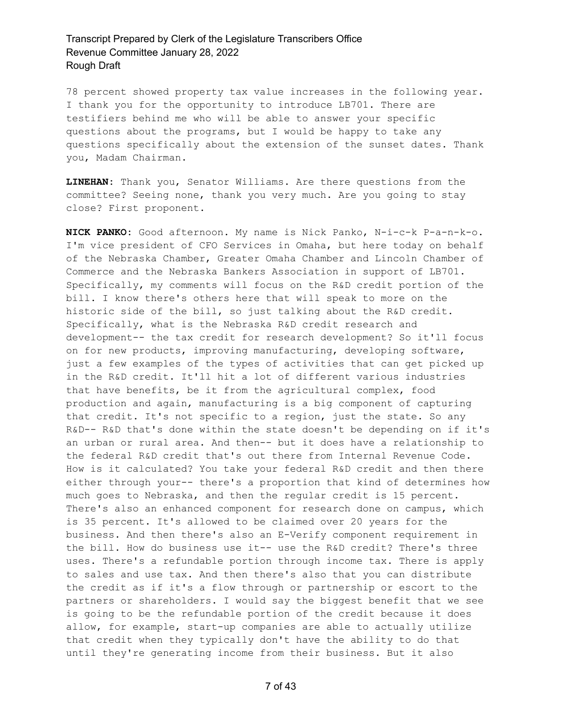78 percent showed property tax value increases in the following year. I thank you for the opportunity to introduce LB701. There are testifiers behind me who will be able to answer your specific questions about the programs, but I would be happy to take any questions specifically about the extension of the sunset dates. Thank you, Madam Chairman.

**LINEHAN:** Thank you, Senator Williams. Are there questions from the committee? Seeing none, thank you very much. Are you going to stay close? First proponent.

**NICK PANKO:** Good afternoon. My name is Nick Panko, N-i-c-k P-a-n-k-o. I'm vice president of CFO Services in Omaha, but here today on behalf of the Nebraska Chamber, Greater Omaha Chamber and Lincoln Chamber of Commerce and the Nebraska Bankers Association in support of LB701. Specifically, my comments will focus on the R&D credit portion of the bill. I know there's others here that will speak to more on the historic side of the bill, so just talking about the R&D credit. Specifically, what is the Nebraska R&D credit research and development-- the tax credit for research development? So it'll focus on for new products, improving manufacturing, developing software, just a few examples of the types of activities that can get picked up in the R&D credit. It'll hit a lot of different various industries that have benefits, be it from the agricultural complex, food production and again, manufacturing is a big component of capturing that credit. It's not specific to a region, just the state. So any R&D-- R&D that's done within the state doesn't be depending on if it's an urban or rural area. And then-- but it does have a relationship to the federal R&D credit that's out there from Internal Revenue Code. How is it calculated? You take your federal R&D credit and then there either through your-- there's a proportion that kind of determines how much goes to Nebraska, and then the regular credit is 15 percent. There's also an enhanced component for research done on campus, which is 35 percent. It's allowed to be claimed over 20 years for the business. And then there's also an E-Verify component requirement in the bill. How do business use it-- use the R&D credit? There's three uses. There's a refundable portion through income tax. There is apply to sales and use tax. And then there's also that you can distribute the credit as if it's a flow through or partnership or escort to the partners or shareholders. I would say the biggest benefit that we see is going to be the refundable portion of the credit because it does allow, for example, start-up companies are able to actually utilize that credit when they typically don't have the ability to do that until they're generating income from their business. But it also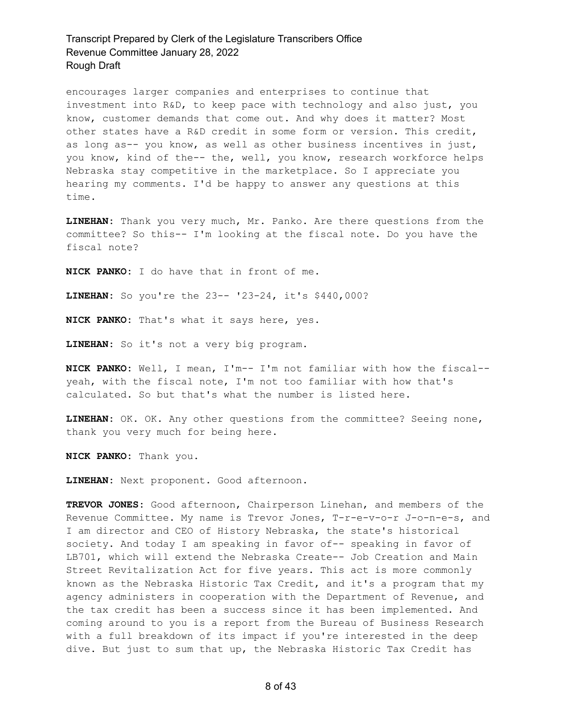encourages larger companies and enterprises to continue that investment into R&D, to keep pace with technology and also just, you know, customer demands that come out. And why does it matter? Most other states have a R&D credit in some form or version. This credit, as long as-- you know, as well as other business incentives in just, you know, kind of the-- the, well, you know, research workforce helps Nebraska stay competitive in the marketplace. So I appreciate you hearing my comments. I'd be happy to answer any questions at this time.

**LINEHAN:** Thank you very much, Mr. Panko. Are there questions from the committee? So this-- I'm looking at the fiscal note. Do you have the fiscal note?

**NICK PANKO:** I do have that in front of me.

**LINEHAN:** So you're the 23-- '23-24, it's \$440,000?

**NICK PANKO:** That's what it says here, yes.

**LINEHAN:** So it's not a very big program.

**NICK PANKO:** Well, I mean, I'm-- I'm not familiar with how the fiscal- yeah, with the fiscal note, I'm not too familiar with how that's calculated. So but that's what the number is listed here.

**LINEHAN:** OK. OK. Any other questions from the committee? Seeing none, thank you very much for being here.

**NICK PANKO:** Thank you.

**LINEHAN:** Next proponent. Good afternoon.

**TREVOR JONES:** Good afternoon, Chairperson Linehan, and members of the Revenue Committee. My name is Trevor Jones, T-r-e-v-o-r J-o-n-e-s, and I am director and CEO of History Nebraska, the state's historical society. And today I am speaking in favor of-- speaking in favor of LB701, which will extend the Nebraska Create-- Job Creation and Main Street Revitalization Act for five years. This act is more commonly known as the Nebraska Historic Tax Credit, and it's a program that my agency administers in cooperation with the Department of Revenue, and the tax credit has been a success since it has been implemented. And coming around to you is a report from the Bureau of Business Research with a full breakdown of its impact if you're interested in the deep dive. But just to sum that up, the Nebraska Historic Tax Credit has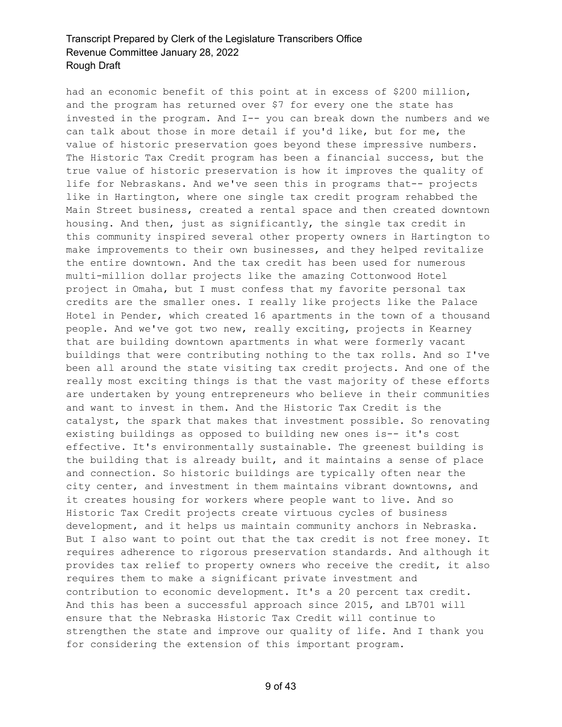had an economic benefit of this point at in excess of \$200 million, and the program has returned over \$7 for every one the state has invested in the program. And I-- you can break down the numbers and we can talk about those in more detail if you'd like, but for me, the value of historic preservation goes beyond these impressive numbers. The Historic Tax Credit program has been a financial success, but the true value of historic preservation is how it improves the quality of life for Nebraskans. And we've seen this in programs that-- projects like in Hartington, where one single tax credit program rehabbed the Main Street business, created a rental space and then created downtown housing. And then, just as significantly, the single tax credit in this community inspired several other property owners in Hartington to make improvements to their own businesses, and they helped revitalize the entire downtown. And the tax credit has been used for numerous multi-million dollar projects like the amazing Cottonwood Hotel project in Omaha, but I must confess that my favorite personal tax credits are the smaller ones. I really like projects like the Palace Hotel in Pender, which created 16 apartments in the town of a thousand people. And we've got two new, really exciting, projects in Kearney that are building downtown apartments in what were formerly vacant buildings that were contributing nothing to the tax rolls. And so I've been all around the state visiting tax credit projects. And one of the really most exciting things is that the vast majority of these efforts are undertaken by young entrepreneurs who believe in their communities and want to invest in them. And the Historic Tax Credit is the catalyst, the spark that makes that investment possible. So renovating existing buildings as opposed to building new ones is-- it's cost effective. It's environmentally sustainable. The greenest building is the building that is already built, and it maintains a sense of place and connection. So historic buildings are typically often near the city center, and investment in them maintains vibrant downtowns, and it creates housing for workers where people want to live. And so Historic Tax Credit projects create virtuous cycles of business development, and it helps us maintain community anchors in Nebraska. But I also want to point out that the tax credit is not free money. It requires adherence to rigorous preservation standards. And although it provides tax relief to property owners who receive the credit, it also requires them to make a significant private investment and contribution to economic development. It's a 20 percent tax credit. And this has been a successful approach since 2015, and LB701 will ensure that the Nebraska Historic Tax Credit will continue to strengthen the state and improve our quality of life. And I thank you for considering the extension of this important program.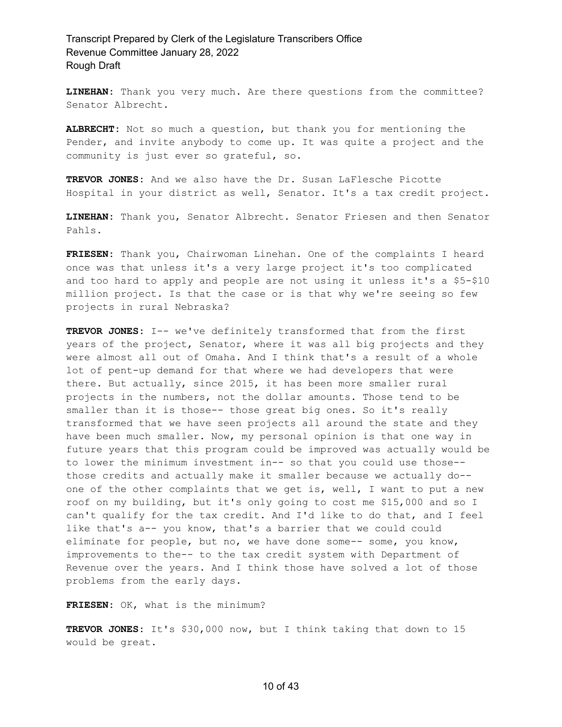**LINEHAN:** Thank you very much. Are there questions from the committee? Senator Albrecht.

**ALBRECHT:** Not so much a question, but thank you for mentioning the Pender, and invite anybody to come up. It was quite a project and the community is just ever so grateful, so.

**TREVOR JONES:** And we also have the Dr. Susan LaFlesche Picotte Hospital in your district as well, Senator. It's a tax credit project.

**LINEHAN:** Thank you, Senator Albrecht. Senator Friesen and then Senator Pahls.

**FRIESEN:** Thank you, Chairwoman Linehan. One of the complaints I heard once was that unless it's a very large project it's too complicated and too hard to apply and people are not using it unless it's a \$5-\$10 million project. Is that the case or is that why we're seeing so few projects in rural Nebraska?

**TREVOR JONES:** I-- we've definitely transformed that from the first years of the project, Senator, where it was all big projects and they were almost all out of Omaha. And I think that's a result of a whole lot of pent-up demand for that where we had developers that were there. But actually, since 2015, it has been more smaller rural projects in the numbers, not the dollar amounts. Those tend to be smaller than it is those-- those great big ones. So it's really transformed that we have seen projects all around the state and they have been much smaller. Now, my personal opinion is that one way in future years that this program could be improved was actually would be to lower the minimum investment in-- so that you could use those- those credits and actually make it smaller because we actually do- one of the other complaints that we get is, well, I want to put a new roof on my building, but it's only going to cost me \$15,000 and so I can't qualify for the tax credit. And I'd like to do that, and I feel like that's a-- you know, that's a barrier that we could could eliminate for people, but no, we have done some-- some, you know, improvements to the-- to the tax credit system with Department of Revenue over the years. And I think those have solved a lot of those problems from the early days.

**FRIESEN:** OK, what is the minimum?

**TREVOR JONES:** It's \$30,000 now, but I think taking that down to 15 would be great.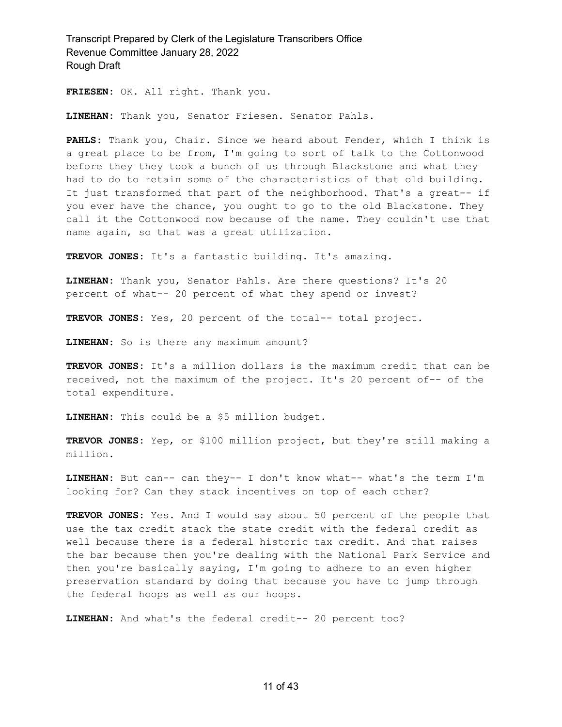**FRIESEN:** OK. All right. Thank you.

**LINEHAN:** Thank you, Senator Friesen. Senator Pahls.

**PAHLS:** Thank you, Chair. Since we heard about Fender, which I think is a great place to be from, I'm going to sort of talk to the Cottonwood before they they took a bunch of us through Blackstone and what they had to do to retain some of the characteristics of that old building. It just transformed that part of the neighborhood. That's a great-- if you ever have the chance, you ought to go to the old Blackstone. They call it the Cottonwood now because of the name. They couldn't use that name again, so that was a great utilization.

**TREVOR JONES:** It's a fantastic building. It's amazing.

**LINEHAN:** Thank you, Senator Pahls. Are there questions? It's 20 percent of what-- 20 percent of what they spend or invest?

**TREVOR JONES:** Yes, 20 percent of the total-- total project.

**LINEHAN:** So is there any maximum amount?

**TREVOR JONES:** It's a million dollars is the maximum credit that can be received, not the maximum of the project. It's 20 percent of-- of the total expenditure.

**LINEHAN:** This could be a \$5 million budget.

**TREVOR JONES:** Yep, or \$100 million project, but they're still making a million.

**LINEHAN:** But can-- can they-- I don't know what-- what's the term I'm looking for? Can they stack incentives on top of each other?

**TREVOR JONES:** Yes. And I would say about 50 percent of the people that use the tax credit stack the state credit with the federal credit as well because there is a federal historic tax credit. And that raises the bar because then you're dealing with the National Park Service and then you're basically saying, I'm going to adhere to an even higher preservation standard by doing that because you have to jump through the federal hoops as well as our hoops.

**LINEHAN:** And what's the federal credit-- 20 percent too?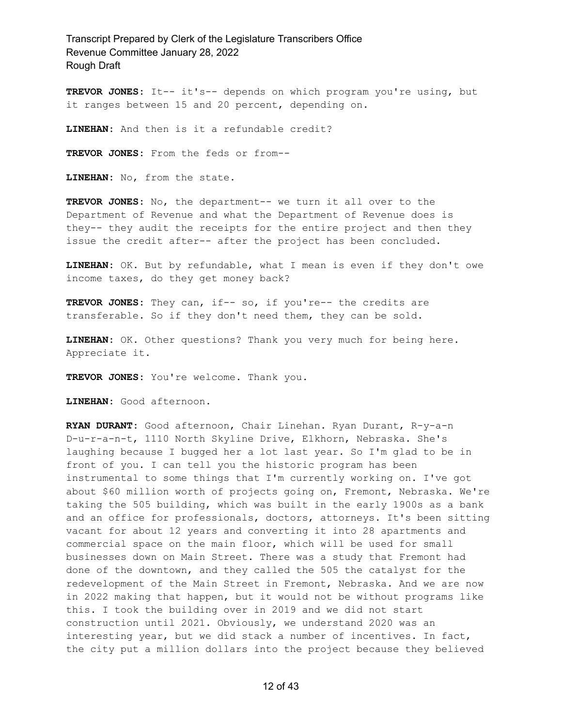**TREVOR JONES:** It-- it's-- depends on which program you're using, but it ranges between 15 and 20 percent, depending on.

**LINEHAN:** And then is it a refundable credit?

**TREVOR JONES:** From the feds or from--

**LINEHAN:** No, from the state.

**TREVOR JONES:** No, the department-- we turn it all over to the Department of Revenue and what the Department of Revenue does is they-- they audit the receipts for the entire project and then they issue the credit after-- after the project has been concluded.

**LINEHAN:** OK. But by refundable, what I mean is even if they don't owe income taxes, do they get money back?

**TREVOR JONES:** They can, if-- so, if you're-- the credits are transferable. So if they don't need them, they can be sold.

**LINEHAN:** OK. Other questions? Thank you very much for being here. Appreciate it.

**TREVOR JONES:** You're welcome. Thank you.

**LINEHAN:** Good afternoon.

**RYAN DURANT:** Good afternoon, Chair Linehan. Ryan Durant, R-y-a-n D-u-r-a-n-t, 1110 North Skyline Drive, Elkhorn, Nebraska. She's laughing because I bugged her a lot last year. So I'm glad to be in front of you. I can tell you the historic program has been instrumental to some things that I'm currently working on. I've got about \$60 million worth of projects going on, Fremont, Nebraska. We're taking the 505 building, which was built in the early 1900s as a bank and an office for professionals, doctors, attorneys. It's been sitting vacant for about 12 years and converting it into 28 apartments and commercial space on the main floor, which will be used for small businesses down on Main Street. There was a study that Fremont had done of the downtown, and they called the 505 the catalyst for the redevelopment of the Main Street in Fremont, Nebraska. And we are now in 2022 making that happen, but it would not be without programs like this. I took the building over in 2019 and we did not start construction until 2021. Obviously, we understand 2020 was an interesting year, but we did stack a number of incentives. In fact, the city put a million dollars into the project because they believed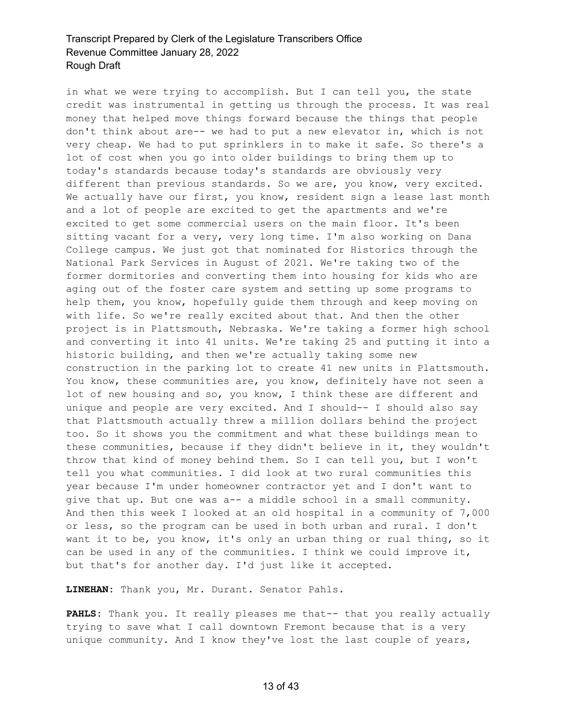in what we were trying to accomplish. But I can tell you, the state credit was instrumental in getting us through the process. It was real money that helped move things forward because the things that people don't think about are-- we had to put a new elevator in, which is not very cheap. We had to put sprinklers in to make it safe. So there's a lot of cost when you go into older buildings to bring them up to today's standards because today's standards are obviously very different than previous standards. So we are, you know, very excited. We actually have our first, you know, resident sign a lease last month and a lot of people are excited to get the apartments and we're excited to get some commercial users on the main floor. It's been sitting vacant for a very, very long time. I'm also working on Dana College campus. We just got that nominated for Historics through the National Park Services in August of 2021. We're taking two of the former dormitories and converting them into housing for kids who are aging out of the foster care system and setting up some programs to help them, you know, hopefully guide them through and keep moving on with life. So we're really excited about that. And then the other project is in Plattsmouth, Nebraska. We're taking a former high school and converting it into 41 units. We're taking 25 and putting it into a historic building, and then we're actually taking some new construction in the parking lot to create 41 new units in Plattsmouth. You know, these communities are, you know, definitely have not seen a lot of new housing and so, you know, I think these are different and unique and people are very excited. And I should-- I should also say that Plattsmouth actually threw a million dollars behind the project too. So it shows you the commitment and what these buildings mean to these communities, because if they didn't believe in it, they wouldn't throw that kind of money behind them. So I can tell you, but I won't tell you what communities. I did look at two rural communities this year because I'm under homeowner contractor yet and I don't want to give that up. But one was a-- a middle school in a small community. And then this week I looked at an old hospital in a community of 7,000 or less, so the program can be used in both urban and rural. I don't want it to be, you know, it's only an urban thing or rual thing, so it can be used in any of the communities. I think we could improve it, but that's for another day. I'd just like it accepted.

**LINEHAN:** Thank you, Mr. Durant. Senator Pahls.

PAHLS: Thank you. It really pleases me that-- that you really actually trying to save what I call downtown Fremont because that is a very unique community. And I know they've lost the last couple of years,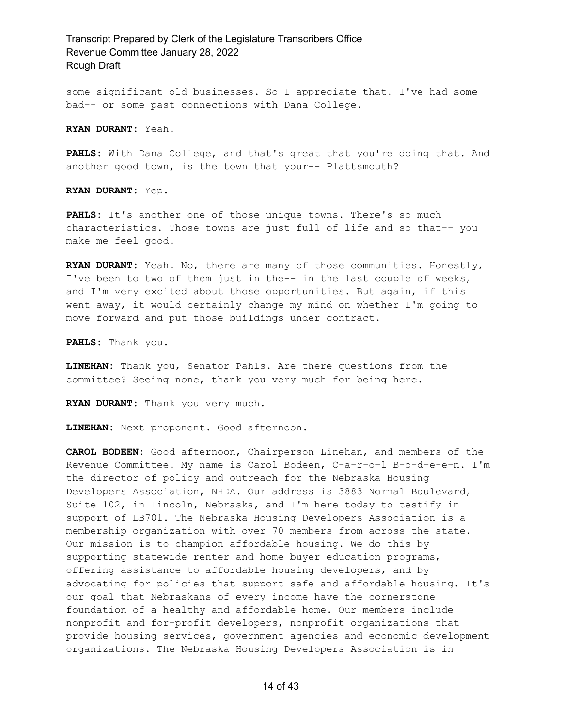some significant old businesses. So I appreciate that. I've had some bad-- or some past connections with Dana College.

**RYAN DURANT:** Yeah.

**PAHLS:** With Dana College, and that's great that you're doing that. And another good town, is the town that your-- Plattsmouth?

**RYAN DURANT:** Yep.

**PAHLS:** It's another one of those unique towns. There's so much characteristics. Those towns are just full of life and so that-- you make me feel good.

**RYAN DURANT:** Yeah. No, there are many of those communities. Honestly, I've been to two of them just in the-- in the last couple of weeks, and I'm very excited about those opportunities. But again, if this went away, it would certainly change my mind on whether I'm going to move forward and put those buildings under contract.

**PAHLS:** Thank you.

**LINEHAN:** Thank you, Senator Pahls. Are there questions from the committee? Seeing none, thank you very much for being here.

**RYAN DURANT:** Thank you very much.

**LINEHAN:** Next proponent. Good afternoon.

**CAROL BODEEN:** Good afternoon, Chairperson Linehan, and members of the Revenue Committee. My name is Carol Bodeen, C-a-r-o-l B-o-d-e-e-n. I'm the director of policy and outreach for the Nebraska Housing Developers Association, NHDA. Our address is 3883 Normal Boulevard, Suite 102, in Lincoln, Nebraska, and I'm here today to testify in support of LB701. The Nebraska Housing Developers Association is a membership organization with over 70 members from across the state. Our mission is to champion affordable housing. We do this by supporting statewide renter and home buyer education programs, offering assistance to affordable housing developers, and by advocating for policies that support safe and affordable housing. It's our goal that Nebraskans of every income have the cornerstone foundation of a healthy and affordable home. Our members include nonprofit and for-profit developers, nonprofit organizations that provide housing services, government agencies and economic development organizations. The Nebraska Housing Developers Association is in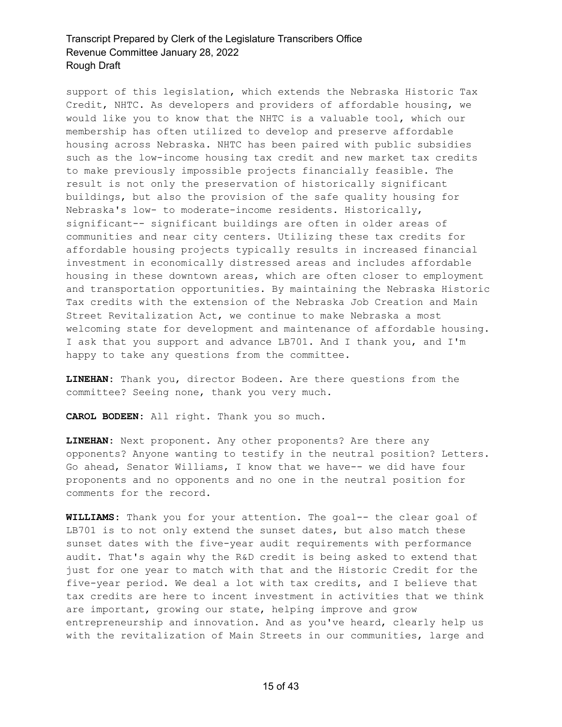support of this legislation, which extends the Nebraska Historic Tax Credit, NHTC. As developers and providers of affordable housing, we would like you to know that the NHTC is a valuable tool, which our membership has often utilized to develop and preserve affordable housing across Nebraska. NHTC has been paired with public subsidies such as the low-income housing tax credit and new market tax credits to make previously impossible projects financially feasible. The result is not only the preservation of historically significant buildings, but also the provision of the safe quality housing for Nebraska's low- to moderate-income residents. Historically, significant-- significant buildings are often in older areas of communities and near city centers. Utilizing these tax credits for affordable housing projects typically results in increased financial investment in economically distressed areas and includes affordable housing in these downtown areas, which are often closer to employment and transportation opportunities. By maintaining the Nebraska Historic Tax credits with the extension of the Nebraska Job Creation and Main Street Revitalization Act, we continue to make Nebraska a most welcoming state for development and maintenance of affordable housing. I ask that you support and advance LB701. And I thank you, and I'm happy to take any questions from the committee.

**LINEHAN:** Thank you, director Bodeen. Are there questions from the committee? Seeing none, thank you very much.

**CAROL BODEEN:** All right. Thank you so much.

**LINEHAN:** Next proponent. Any other proponents? Are there any opponents? Anyone wanting to testify in the neutral position? Letters. Go ahead, Senator Williams, I know that we have-- we did have four proponents and no opponents and no one in the neutral position for comments for the record.

**WILLIAMS:** Thank you for your attention. The goal-- the clear goal of LB701 is to not only extend the sunset dates, but also match these sunset dates with the five-year audit requirements with performance audit. That's again why the R&D credit is being asked to extend that just for one year to match with that and the Historic Credit for the five-year period. We deal a lot with tax credits, and I believe that tax credits are here to incent investment in activities that we think are important, growing our state, helping improve and grow entrepreneurship and innovation. And as you've heard, clearly help us with the revitalization of Main Streets in our communities, large and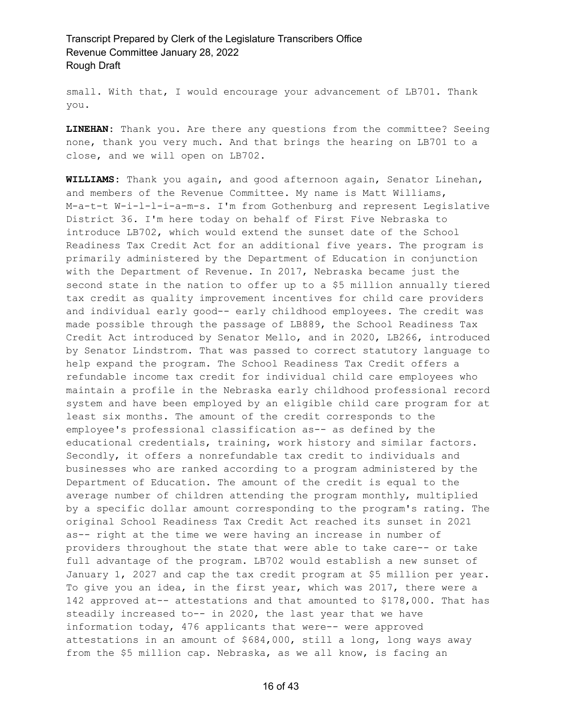small. With that, I would encourage your advancement of LB701. Thank you.

**LINEHAN:** Thank you. Are there any questions from the committee? Seeing none, thank you very much. And that brings the hearing on LB701 to a close, and we will open on LB702.

**WILLIAMS:** Thank you again, and good afternoon again, Senator Linehan, and members of the Revenue Committee. My name is Matt Williams, M-a-t-t W-i-l-l-i-a-m-s. I'm from Gothenburg and represent Legislative District 36. I'm here today on behalf of First Five Nebraska to introduce LB702, which would extend the sunset date of the School Readiness Tax Credit Act for an additional five years. The program is primarily administered by the Department of Education in conjunction with the Department of Revenue. In 2017, Nebraska became just the second state in the nation to offer up to a \$5 million annually tiered tax credit as quality improvement incentives for child care providers and individual early good-- early childhood employees. The credit was made possible through the passage of LB889, the School Readiness Tax Credit Act introduced by Senator Mello, and in 2020, LB266, introduced by Senator Lindstrom. That was passed to correct statutory language to help expand the program. The School Readiness Tax Credit offers a refundable income tax credit for individual child care employees who maintain a profile in the Nebraska early childhood professional record system and have been employed by an eligible child care program for at least six months. The amount of the credit corresponds to the employee's professional classification as-- as defined by the educational credentials, training, work history and similar factors. Secondly, it offers a nonrefundable tax credit to individuals and businesses who are ranked according to a program administered by the Department of Education. The amount of the credit is equal to the average number of children attending the program monthly, multiplied by a specific dollar amount corresponding to the program's rating. The original School Readiness Tax Credit Act reached its sunset in 2021 as-- right at the time we were having an increase in number of providers throughout the state that were able to take care-- or take full advantage of the program. LB702 would establish a new sunset of January 1, 2027 and cap the tax credit program at \$5 million per year. To give you an idea, in the first year, which was 2017, there were a 142 approved at-- attestations and that amounted to \$178,000. That has steadily increased to-- in 2020, the last year that we have information today, 476 applicants that were-- were approved attestations in an amount of \$684,000, still a long, long ways away from the \$5 million cap. Nebraska, as we all know, is facing an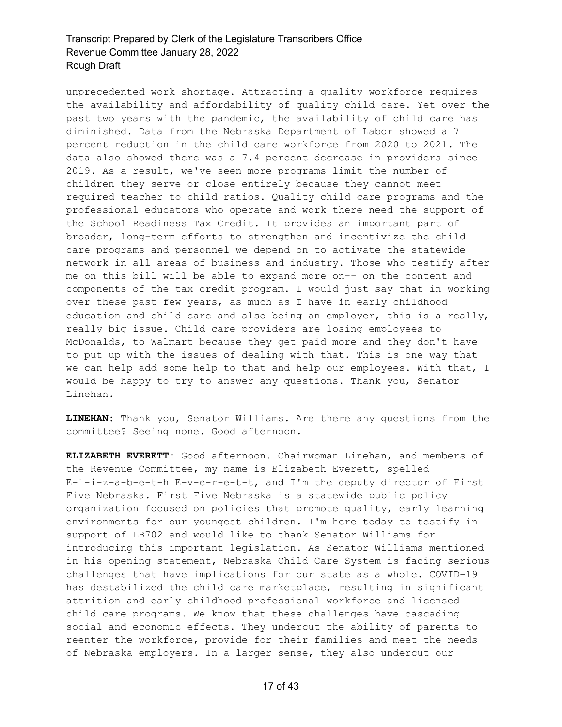unprecedented work shortage. Attracting a quality workforce requires the availability and affordability of quality child care. Yet over the past two years with the pandemic, the availability of child care has diminished. Data from the Nebraska Department of Labor showed a 7 percent reduction in the child care workforce from 2020 to 2021. The data also showed there was a 7.4 percent decrease in providers since 2019. As a result, we've seen more programs limit the number of children they serve or close entirely because they cannot meet required teacher to child ratios. Quality child care programs and the professional educators who operate and work there need the support of the School Readiness Tax Credit. It provides an important part of broader, long-term efforts to strengthen and incentivize the child care programs and personnel we depend on to activate the statewide network in all areas of business and industry. Those who testify after me on this bill will be able to expand more on-- on the content and components of the tax credit program. I would just say that in working over these past few years, as much as I have in early childhood education and child care and also being an employer, this is a really, really big issue. Child care providers are losing employees to McDonalds, to Walmart because they get paid more and they don't have to put up with the issues of dealing with that. This is one way that we can help add some help to that and help our employees. With that, I would be happy to try to answer any questions. Thank you, Senator Linehan.

**LINEHAN:** Thank you, Senator Williams. Are there any questions from the committee? Seeing none. Good afternoon.

**ELIZABETH EVERETT:** Good afternoon. Chairwoman Linehan, and members of the Revenue Committee, my name is Elizabeth Everett, spelled E-l-i-z-a-b-e-t-h E-v-e-r-e-t-t, and I'm the deputy director of First Five Nebraska. First Five Nebraska is a statewide public policy organization focused on policies that promote quality, early learning environments for our youngest children. I'm here today to testify in support of LB702 and would like to thank Senator Williams for introducing this important legislation. As Senator Williams mentioned in his opening statement, Nebraska Child Care System is facing serious challenges that have implications for our state as a whole. COVID-19 has destabilized the child care marketplace, resulting in significant attrition and early childhood professional workforce and licensed child care programs. We know that these challenges have cascading social and economic effects. They undercut the ability of parents to reenter the workforce, provide for their families and meet the needs of Nebraska employers. In a larger sense, they also undercut our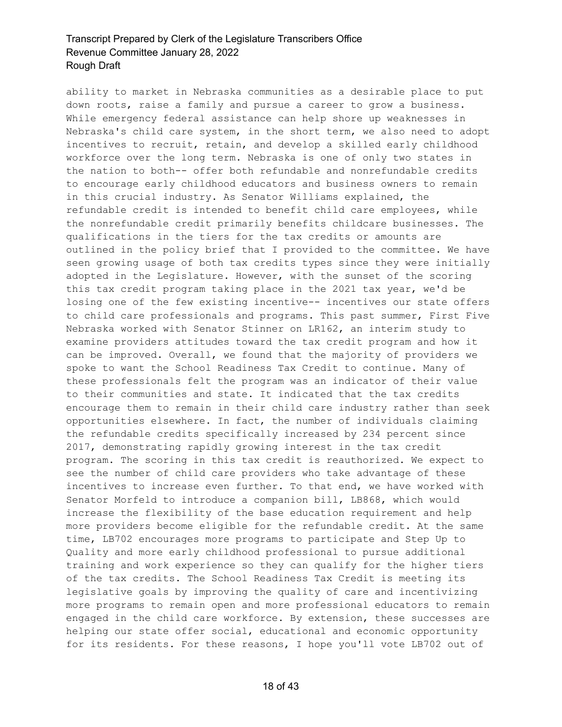ability to market in Nebraska communities as a desirable place to put down roots, raise a family and pursue a career to grow a business. While emergency federal assistance can help shore up weaknesses in Nebraska's child care system, in the short term, we also need to adopt incentives to recruit, retain, and develop a skilled early childhood workforce over the long term. Nebraska is one of only two states in the nation to both-- offer both refundable and nonrefundable credits to encourage early childhood educators and business owners to remain in this crucial industry. As Senator Williams explained, the refundable credit is intended to benefit child care employees, while the nonrefundable credit primarily benefits childcare businesses. The qualifications in the tiers for the tax credits or amounts are outlined in the policy brief that I provided to the committee. We have seen growing usage of both tax credits types since they were initially adopted in the Legislature. However, with the sunset of the scoring this tax credit program taking place in the 2021 tax year, we'd be losing one of the few existing incentive-- incentives our state offers to child care professionals and programs. This past summer, First Five Nebraska worked with Senator Stinner on LR162, an interim study to examine providers attitudes toward the tax credit program and how it can be improved. Overall, we found that the majority of providers we spoke to want the School Readiness Tax Credit to continue. Many of these professionals felt the program was an indicator of their value to their communities and state. It indicated that the tax credits encourage them to remain in their child care industry rather than seek opportunities elsewhere. In fact, the number of individuals claiming the refundable credits specifically increased by 234 percent since 2017, demonstrating rapidly growing interest in the tax credit program. The scoring in this tax credit is reauthorized. We expect to see the number of child care providers who take advantage of these incentives to increase even further. To that end, we have worked with Senator Morfeld to introduce a companion bill, LB868, which would increase the flexibility of the base education requirement and help more providers become eligible for the refundable credit. At the same time, LB702 encourages more programs to participate and Step Up to Quality and more early childhood professional to pursue additional training and work experience so they can qualify for the higher tiers of the tax credits. The School Readiness Tax Credit is meeting its legislative goals by improving the quality of care and incentivizing more programs to remain open and more professional educators to remain engaged in the child care workforce. By extension, these successes are helping our state offer social, educational and economic opportunity for its residents. For these reasons, I hope you'll vote LB702 out of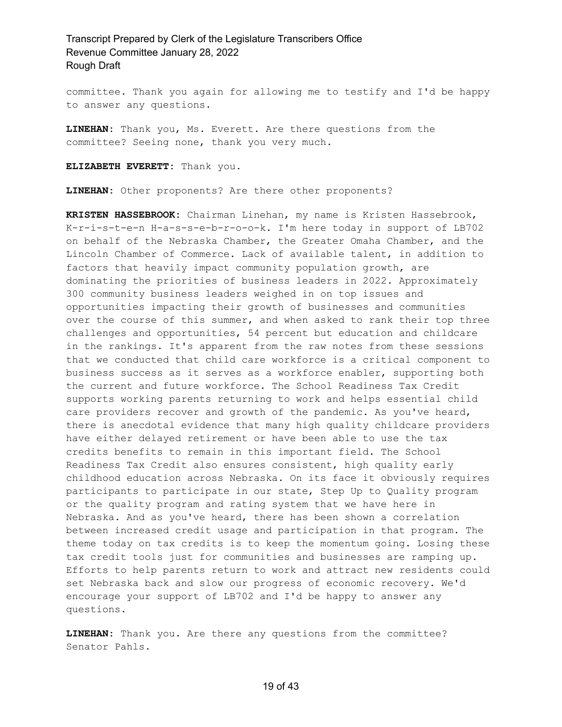committee. Thank you again for allowing me to testify and I'd be happy to answer any questions.

**LINEHAN:** Thank you, Ms. Everett. Are there questions from the committee? Seeing none, thank you very much.

**ELIZABETH EVERETT:** Thank you.

**LINEHAN:** Other proponents? Are there other proponents?

**KRISTEN HASSEBROOK:** Chairman Linehan, my name is Kristen Hassebrook, K-r-i-s-t-e-n H-a-s-s-e-b-r-o-o-k. I'm here today in support of LB702 on behalf of the Nebraska Chamber, the Greater Omaha Chamber, and the Lincoln Chamber of Commerce. Lack of available talent, in addition to factors that heavily impact community population growth, are dominating the priorities of business leaders in 2022. Approximately 300 community business leaders weighed in on top issues and opportunities impacting their growth of businesses and communities over the course of this summer, and when asked to rank their top three challenges and opportunities, 54 percent but education and childcare in the rankings. It's apparent from the raw notes from these sessions that we conducted that child care workforce is a critical component to business success as it serves as a workforce enabler, supporting both the current and future workforce. The School Readiness Tax Credit supports working parents returning to work and helps essential child care providers recover and growth of the pandemic. As you've heard, there is anecdotal evidence that many high quality childcare providers have either delayed retirement or have been able to use the tax credits benefits to remain in this important field. The School Readiness Tax Credit also ensures consistent, high quality early childhood education across Nebraska. On its face it obviously requires participants to participate in our state, Step Up to Quality program or the quality program and rating system that we have here in Nebraska. And as you've heard, there has been shown a correlation between increased credit usage and participation in that program. The theme today on tax credits is to keep the momentum going. Losing these tax credit tools just for communities and businesses are ramping up. Efforts to help parents return to work and attract new residents could set Nebraska back and slow our progress of economic recovery. We'd encourage your support of LB702 and I'd be happy to answer any questions.

**LINEHAN:** Thank you. Are there any questions from the committee? Senator Pahls.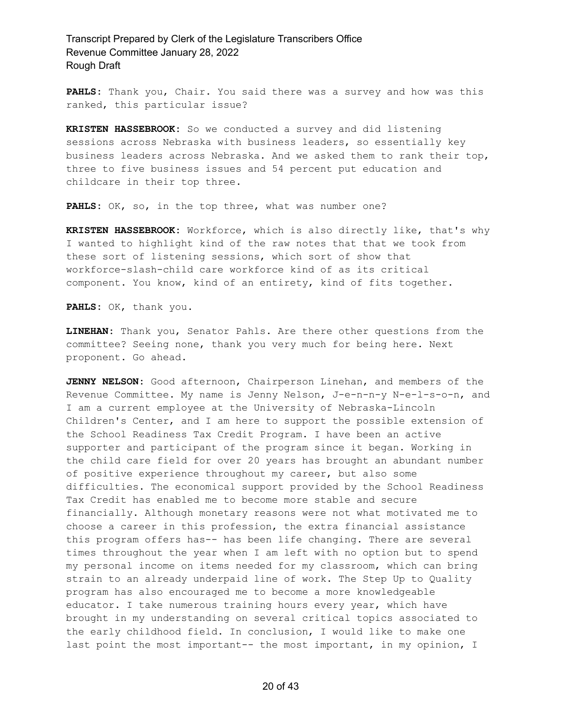**PAHLS:** Thank you, Chair. You said there was a survey and how was this ranked, this particular issue?

**KRISTEN HASSEBROOK:** So we conducted a survey and did listening sessions across Nebraska with business leaders, so essentially key business leaders across Nebraska. And we asked them to rank their top, three to five business issues and 54 percent put education and childcare in their top three.

PAHLS: OK, so, in the top three, what was number one?

**KRISTEN HASSEBROOK:** Workforce, which is also directly like, that's why I wanted to highlight kind of the raw notes that that we took from these sort of listening sessions, which sort of show that workforce-slash-child care workforce kind of as its critical component. You know, kind of an entirety, kind of fits together.

**PAHLS:** OK, thank you.

**LINEHAN:** Thank you, Senator Pahls. Are there other questions from the committee? Seeing none, thank you very much for being here. Next proponent. Go ahead.

**JENNY NELSON:** Good afternoon, Chairperson Linehan, and members of the Revenue Committee. My name is Jenny Nelson, J-e-n-n-y N-e-l-s-o-n, and I am a current employee at the University of Nebraska-Lincoln Children's Center, and I am here to support the possible extension of the School Readiness Tax Credit Program. I have been an active supporter and participant of the program since it began. Working in the child care field for over 20 years has brought an abundant number of positive experience throughout my career, but also some difficulties. The economical support provided by the School Readiness Tax Credit has enabled me to become more stable and secure financially. Although monetary reasons were not what motivated me to choose a career in this profession, the extra financial assistance this program offers has-- has been life changing. There are several times throughout the year when I am left with no option but to spend my personal income on items needed for my classroom, which can bring strain to an already underpaid line of work. The Step Up to Quality program has also encouraged me to become a more knowledgeable educator. I take numerous training hours every year, which have brought in my understanding on several critical topics associated to the early childhood field. In conclusion, I would like to make one last point the most important-- the most important, in my opinion, I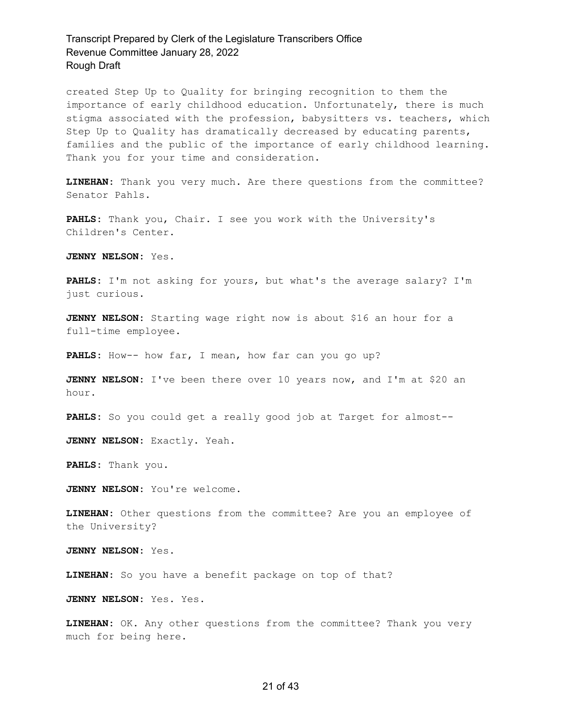created Step Up to Quality for bringing recognition to them the importance of early childhood education. Unfortunately, there is much stigma associated with the profession, babysitters vs. teachers, which Step Up to Quality has dramatically decreased by educating parents, families and the public of the importance of early childhood learning. Thank you for your time and consideration.

**LINEHAN:** Thank you very much. Are there questions from the committee? Senator Pahls.

**PAHLS:** Thank you, Chair. I see you work with the University's Children's Center.

**JENNY NELSON:** Yes.

**PAHLS:** I'm not asking for yours, but what's the average salary? I'm just curious.

**JENNY NELSON:** Starting wage right now is about \$16 an hour for a full-time employee.

PAHLS: How-- how far, I mean, how far can you go up?

**JENNY NELSON:** I've been there over 10 years now, and I'm at \$20 an hour.

**PAHLS:** So you could get a really good job at Target for almost--

**JENNY NELSON:** Exactly. Yeah.

**PAHLS:** Thank you.

**JENNY NELSON:** You're welcome.

**LINEHAN:** Other questions from the committee? Are you an employee of the University?

**JENNY NELSON:** Yes.

**LINEHAN:** So you have a benefit package on top of that?

**JENNY NELSON:** Yes. Yes.

**LINEHAN:** OK. Any other questions from the committee? Thank you very much for being here.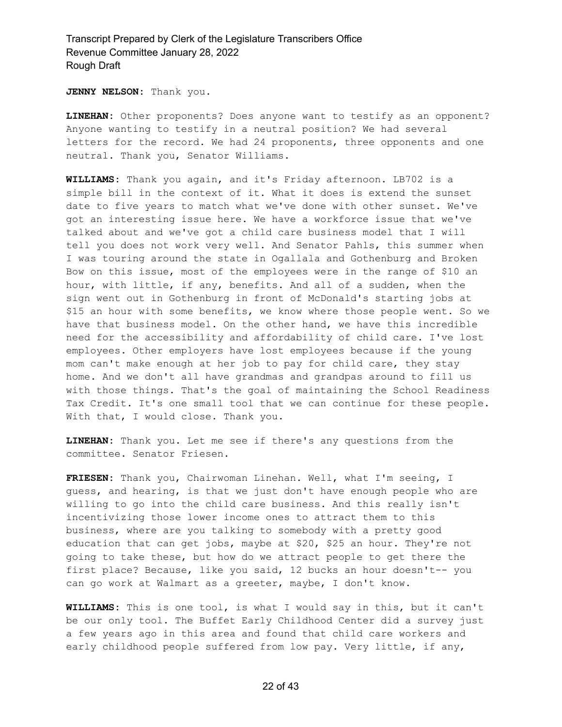**JENNY NELSON:** Thank you.

**LINEHAN:** Other proponents? Does anyone want to testify as an opponent? Anyone wanting to testify in a neutral position? We had several letters for the record. We had 24 proponents, three opponents and one neutral. Thank you, Senator Williams.

**WILLIAMS:** Thank you again, and it's Friday afternoon. LB702 is a simple bill in the context of it. What it does is extend the sunset date to five years to match what we've done with other sunset. We've got an interesting issue here. We have a workforce issue that we've talked about and we've got a child care business model that I will tell you does not work very well. And Senator Pahls, this summer when I was touring around the state in Ogallala and Gothenburg and Broken Bow on this issue, most of the employees were in the range of \$10 an hour, with little, if any, benefits. And all of a sudden, when the sign went out in Gothenburg in front of McDonald's starting jobs at \$15 an hour with some benefits, we know where those people went. So we have that business model. On the other hand, we have this incredible need for the accessibility and affordability of child care. I've lost employees. Other employers have lost employees because if the young mom can't make enough at her job to pay for child care, they stay home. And we don't all have grandmas and grandpas around to fill us with those things. That's the goal of maintaining the School Readiness Tax Credit. It's one small tool that we can continue for these people. With that, I would close. Thank you.

**LINEHAN:** Thank you. Let me see if there's any questions from the committee. Senator Friesen.

**FRIESEN:** Thank you, Chairwoman Linehan. Well, what I'm seeing, I guess, and hearing, is that we just don't have enough people who are willing to go into the child care business. And this really isn't incentivizing those lower income ones to attract them to this business, where are you talking to somebody with a pretty good education that can get jobs, maybe at \$20, \$25 an hour. They're not going to take these, but how do we attract people to get there the first place? Because, like you said, 12 bucks an hour doesn't-- you can go work at Walmart as a greeter, maybe, I don't know.

**WILLIAMS:** This is one tool, is what I would say in this, but it can't be our only tool. The Buffet Early Childhood Center did a survey just a few years ago in this area and found that child care workers and early childhood people suffered from low pay. Very little, if any,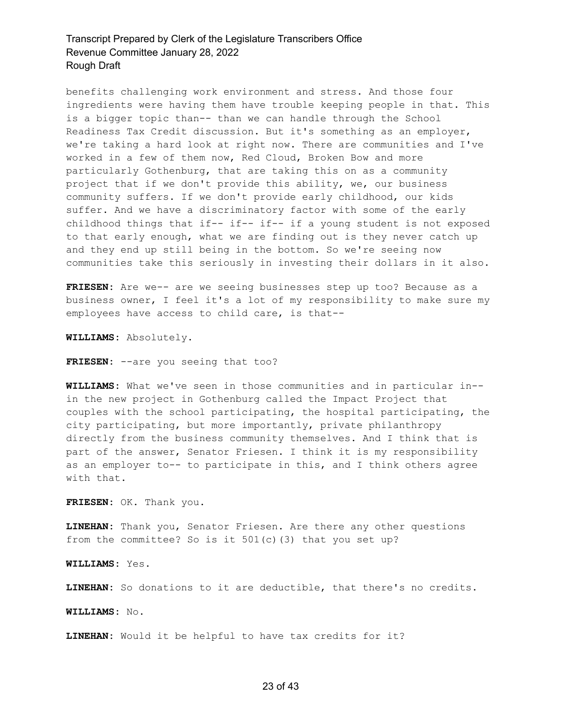benefits challenging work environment and stress. And those four ingredients were having them have trouble keeping people in that. This is a bigger topic than-- than we can handle through the School Readiness Tax Credit discussion. But it's something as an employer, we're taking a hard look at right now. There are communities and I've worked in a few of them now, Red Cloud, Broken Bow and more particularly Gothenburg, that are taking this on as a community project that if we don't provide this ability, we, our business community suffers. If we don't provide early childhood, our kids suffer. And we have a discriminatory factor with some of the early childhood things that if-- if-- if-- if a young student is not exposed to that early enough, what we are finding out is they never catch up and they end up still being in the bottom. So we're seeing now communities take this seriously in investing their dollars in it also.

**FRIESEN:** Are we-- are we seeing businesses step up too? Because as a business owner, I feel it's a lot of my responsibility to make sure my employees have access to child care, is that--

**WILLIAMS:** Absolutely.

FRIESEN: --are you seeing that too?

**WILLIAMS:** What we've seen in those communities and in particular in- in the new project in Gothenburg called the Impact Project that couples with the school participating, the hospital participating, the city participating, but more importantly, private philanthropy directly from the business community themselves. And I think that is part of the answer, Senator Friesen. I think it is my responsibility as an employer to-- to participate in this, and I think others agree with that.

**FRIESEN:** OK. Thank you.

**LINEHAN:** Thank you, Senator Friesen. Are there any other questions from the committee? So is it 501(c)(3) that you set up?

**WILLIAMS:** Yes.

**LINEHAN:** So donations to it are deductible, that there's no credits.

**WILLIAMS:** No.

**LINEHAN:** Would it be helpful to have tax credits for it?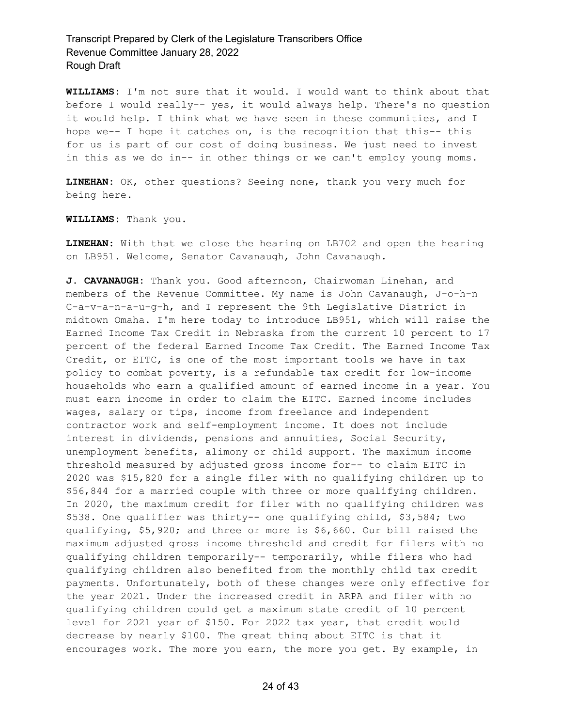**WILLIAMS:** I'm not sure that it would. I would want to think about that before I would really-- yes, it would always help. There's no question it would help. I think what we have seen in these communities, and I hope we-- I hope it catches on, is the recognition that this-- this for us is part of our cost of doing business. We just need to invest in this as we do in-- in other things or we can't employ young moms.

**LINEHAN:** OK, other questions? Seeing none, thank you very much for being here.

**WILLIAMS:** Thank you.

**LINEHAN:** With that we close the hearing on LB702 and open the hearing on LB951. Welcome, Senator Cavanaugh, John Cavanaugh.

**J. CAVANAUGH:** Thank you. Good afternoon, Chairwoman Linehan, and members of the Revenue Committee. My name is John Cavanaugh, J-o-h-n C-a-v-a-n-a-u-g-h, and I represent the 9th Legislative District in midtown Omaha. I'm here today to introduce LB951, which will raise the Earned Income Tax Credit in Nebraska from the current 10 percent to 17 percent of the federal Earned Income Tax Credit. The Earned Income Tax Credit, or EITC, is one of the most important tools we have in tax policy to combat poverty, is a refundable tax credit for low-income households who earn a qualified amount of earned income in a year. You must earn income in order to claim the EITC. Earned income includes wages, salary or tips, income from freelance and independent contractor work and self-employment income. It does not include interest in dividends, pensions and annuities, Social Security, unemployment benefits, alimony or child support. The maximum income threshold measured by adjusted gross income for-- to claim EITC in 2020 was \$15,820 for a single filer with no qualifying children up to \$56,844 for a married couple with three or more qualifying children. In 2020, the maximum credit for filer with no qualifying children was \$538. One qualifier was thirty-- one qualifying child, \$3,584; two qualifying, \$5,920; and three or more is \$6,660. Our bill raised the maximum adjusted gross income threshold and credit for filers with no qualifying children temporarily-- temporarily, while filers who had qualifying children also benefited from the monthly child tax credit payments. Unfortunately, both of these changes were only effective for the year 2021. Under the increased credit in ARPA and filer with no qualifying children could get a maximum state credit of 10 percent level for 2021 year of \$150. For 2022 tax year, that credit would decrease by nearly \$100. The great thing about EITC is that it encourages work. The more you earn, the more you get. By example, in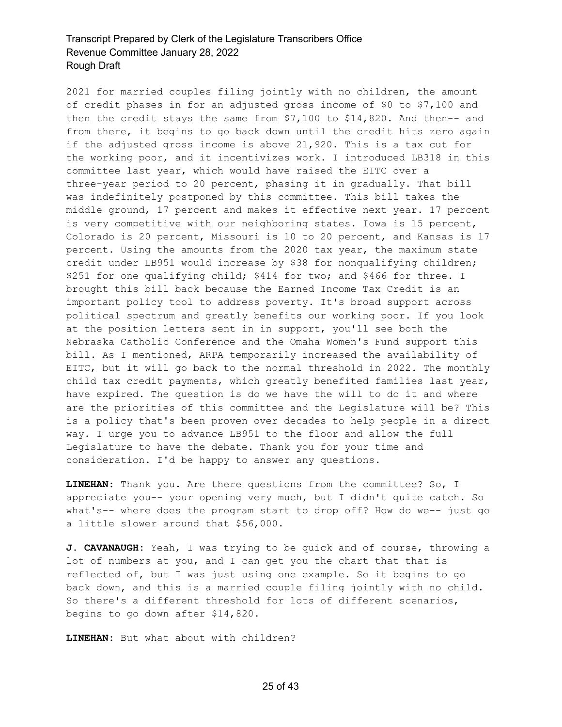2021 for married couples filing jointly with no children, the amount of credit phases in for an adjusted gross income of \$0 to \$7,100 and then the credit stays the same from \$7,100 to \$14,820. And then-- and from there, it begins to go back down until the credit hits zero again if the adjusted gross income is above 21,920. This is a tax cut for the working poor, and it incentivizes work. I introduced LB318 in this committee last year, which would have raised the EITC over a three-year period to 20 percent, phasing it in gradually. That bill was indefinitely postponed by this committee. This bill takes the middle ground, 17 percent and makes it effective next year. 17 percent is very competitive with our neighboring states. Iowa is 15 percent, Colorado is 20 percent, Missouri is 10 to 20 percent, and Kansas is 17 percent. Using the amounts from the 2020 tax year, the maximum state credit under LB951 would increase by \$38 for nonqualifying children; \$251 for one qualifying child; \$414 for two; and \$466 for three. I brought this bill back because the Earned Income Tax Credit is an important policy tool to address poverty. It's broad support across political spectrum and greatly benefits our working poor. If you look at the position letters sent in in support, you'll see both the Nebraska Catholic Conference and the Omaha Women's Fund support this bill. As I mentioned, ARPA temporarily increased the availability of EITC, but it will go back to the normal threshold in 2022. The monthly child tax credit payments, which greatly benefited families last year, have expired. The question is do we have the will to do it and where are the priorities of this committee and the Legislature will be? This is a policy that's been proven over decades to help people in a direct way. I urge you to advance LB951 to the floor and allow the full Legislature to have the debate. Thank you for your time and consideration. I'd be happy to answer any questions.

**LINEHAN:** Thank you. Are there questions from the committee? So, I appreciate you-- your opening very much, but I didn't quite catch. So what's-- where does the program start to drop off? How do we-- just go a little slower around that \$56,000.

**J. CAVANAUGH:** Yeah, I was trying to be quick and of course, throwing a lot of numbers at you, and I can get you the chart that that is reflected of, but I was just using one example. So it begins to go back down, and this is a married couple filing jointly with no child. So there's a different threshold for lots of different scenarios, begins to go down after \$14,820.

**LINEHAN:** But what about with children?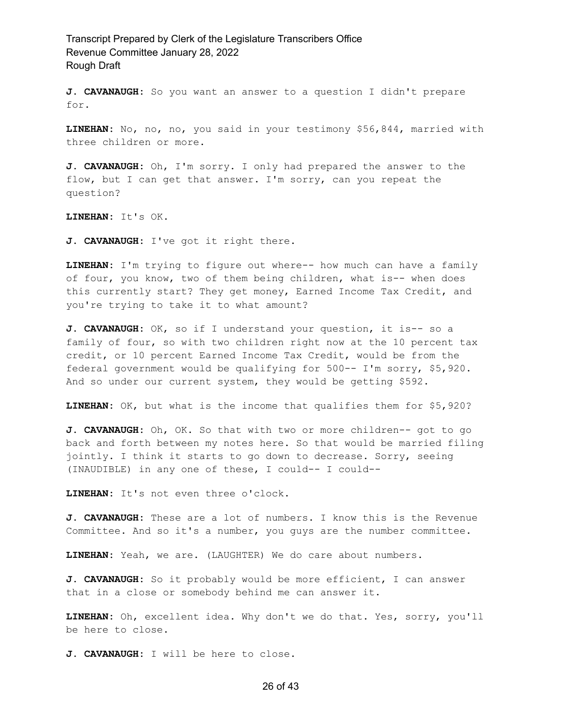**J. CAVANAUGH:** So you want an answer to a question I didn't prepare for.

**LINEHAN:** No, no, no, you said in your testimony \$56,844, married with three children or more.

**J. CAVANAUGH:** Oh, I'm sorry. I only had prepared the answer to the flow, but I can get that answer. I'm sorry, can you repeat the question?

**LINEHAN:** It's OK.

**J. CAVANAUGH:** I've got it right there.

**LINEHAN:** I'm trying to figure out where-- how much can have a family of four, you know, two of them being children, what is-- when does this currently start? They get money, Earned Income Tax Credit, and you're trying to take it to what amount?

**J. CAVANAUGH:** OK, so if I understand your question, it is-- so a family of four, so with two children right now at the 10 percent tax credit, or 10 percent Earned Income Tax Credit, would be from the federal government would be qualifying for 500-- I'm sorry, \$5,920. And so under our current system, they would be getting \$592.

**LINEHAN:** OK, but what is the income that qualifies them for \$5,920?

**J. CAVANAUGH:** Oh, OK. So that with two or more children-- got to go back and forth between my notes here. So that would be married filing jointly. I think it starts to go down to decrease. Sorry, seeing (INAUDIBLE) in any one of these, I could-- I could--

**LINEHAN:** It's not even three o'clock.

**J. CAVANAUGH:** These are a lot of numbers. I know this is the Revenue Committee. And so it's a number, you guys are the number committee.

**LINEHAN:** Yeah, we are. (LAUGHTER) We do care about numbers.

**J. CAVANAUGH:** So it probably would be more efficient, I can answer that in a close or somebody behind me can answer it.

**LINEHAN:** Oh, excellent idea. Why don't we do that. Yes, sorry, you'll be here to close.

**J. CAVANAUGH:** I will be here to close.

26 of 43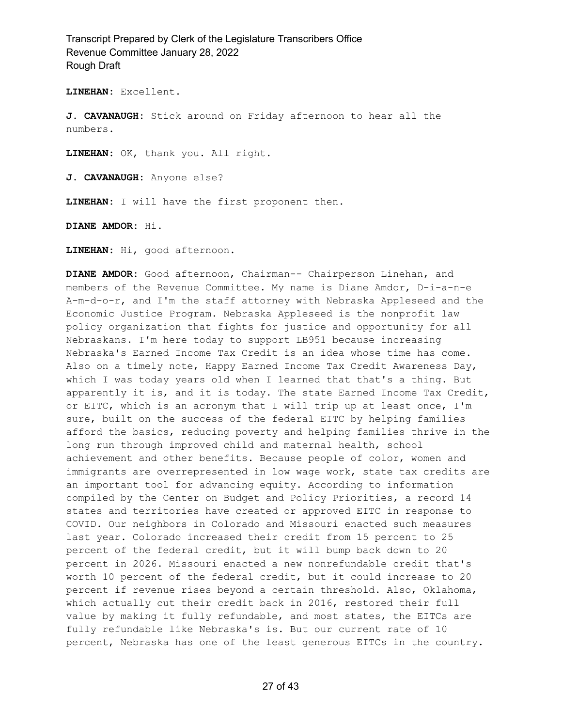**LINEHAN:** Excellent.

**J. CAVANAUGH:** Stick around on Friday afternoon to hear all the numbers.

**LINEHAN:** OK, thank you. All right.

**J. CAVANAUGH:** Anyone else?

**LINEHAN:** I will have the first proponent then.

**DIANE AMDOR:** Hi.

**LINEHAN:** Hi, good afternoon.

**DIANE AMDOR:** Good afternoon, Chairman-- Chairperson Linehan, and members of the Revenue Committee. My name is Diane Amdor, D-i-a-n-e A-m-d-o-r, and I'm the staff attorney with Nebraska Appleseed and the Economic Justice Program. Nebraska Appleseed is the nonprofit law policy organization that fights for justice and opportunity for all Nebraskans. I'm here today to support LB951 because increasing Nebraska's Earned Income Tax Credit is an idea whose time has come. Also on a timely note, Happy Earned Income Tax Credit Awareness Day, which I was today years old when I learned that that's a thing. But apparently it is, and it is today. The state Earned Income Tax Credit, or EITC, which is an acronym that I will trip up at least once, I'm sure, built on the success of the federal EITC by helping families afford the basics, reducing poverty and helping families thrive in the long run through improved child and maternal health, school achievement and other benefits. Because people of color, women and immigrants are overrepresented in low wage work, state tax credits are an important tool for advancing equity. According to information compiled by the Center on Budget and Policy Priorities, a record 14 states and territories have created or approved EITC in response to COVID. Our neighbors in Colorado and Missouri enacted such measures last year. Colorado increased their credit from 15 percent to 25 percent of the federal credit, but it will bump back down to 20 percent in 2026. Missouri enacted a new nonrefundable credit that's worth 10 percent of the federal credit, but it could increase to 20 percent if revenue rises beyond a certain threshold. Also, Oklahoma, which actually cut their credit back in 2016, restored their full value by making it fully refundable, and most states, the EITCs are fully refundable like Nebraska's is. But our current rate of 10 percent, Nebraska has one of the least generous EITCs in the country.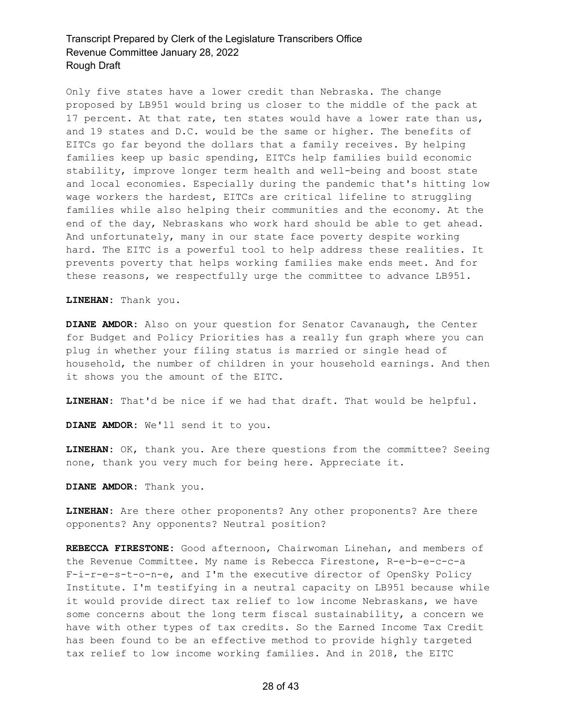Only five states have a lower credit than Nebraska. The change proposed by LB951 would bring us closer to the middle of the pack at 17 percent. At that rate, ten states would have a lower rate than us, and 19 states and D.C. would be the same or higher. The benefits of EITCs go far beyond the dollars that a family receives. By helping families keep up basic spending, EITCs help families build economic stability, improve longer term health and well-being and boost state and local economies. Especially during the pandemic that's hitting low wage workers the hardest, EITCs are critical lifeline to struggling families while also helping their communities and the economy. At the end of the day, Nebraskans who work hard should be able to get ahead. And unfortunately, many in our state face poverty despite working hard. The EITC is a powerful tool to help address these realities. It prevents poverty that helps working families make ends meet. And for these reasons, we respectfully urge the committee to advance LB951.

**LINEHAN:** Thank you.

**DIANE AMDOR:** Also on your question for Senator Cavanaugh, the Center for Budget and Policy Priorities has a really fun graph where you can plug in whether your filing status is married or single head of household, the number of children in your household earnings. And then it shows you the amount of the EITC.

**LINEHAN:** That'd be nice if we had that draft. That would be helpful.

**DIANE AMDOR:** We'll send it to you.

**LINEHAN:** OK, thank you. Are there questions from the committee? Seeing none, thank you very much for being here. Appreciate it.

**DIANE AMDOR:** Thank you.

**LINEHAN:** Are there other proponents? Any other proponents? Are there opponents? Any opponents? Neutral position?

**REBECCA FIRESTONE:** Good afternoon, Chairwoman Linehan, and members of the Revenue Committee. My name is Rebecca Firestone, R-e-b-e-c-c-a F-i-r-e-s-t-o-n-e, and I'm the executive director of OpenSky Policy Institute. I'm testifying in a neutral capacity on LB951 because while it would provide direct tax relief to low income Nebraskans, we have some concerns about the long term fiscal sustainability, a concern we have with other types of tax credits. So the Earned Income Tax Credit has been found to be an effective method to provide highly targeted tax relief to low income working families. And in 2018, the EITC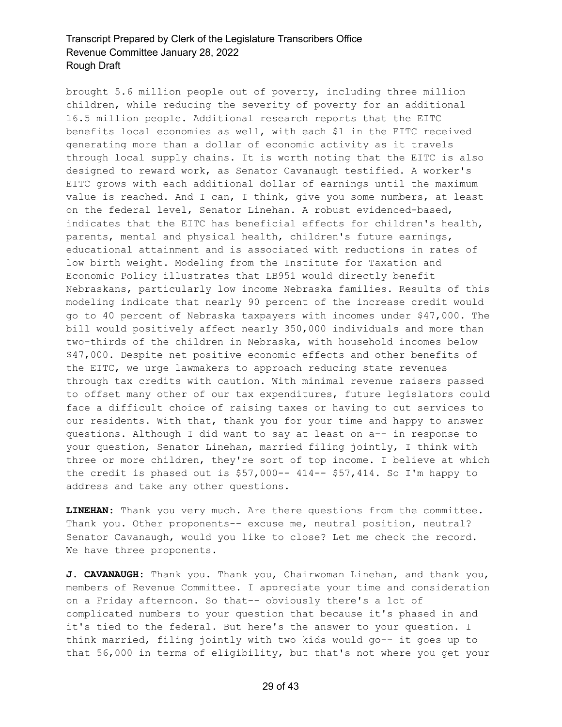brought 5.6 million people out of poverty, including three million children, while reducing the severity of poverty for an additional 16.5 million people. Additional research reports that the EITC benefits local economies as well, with each \$1 in the EITC received generating more than a dollar of economic activity as it travels through local supply chains. It is worth noting that the EITC is also designed to reward work, as Senator Cavanaugh testified. A worker's EITC grows with each additional dollar of earnings until the maximum value is reached. And I can, I think, give you some numbers, at least on the federal level, Senator Linehan. A robust evidenced-based, indicates that the EITC has beneficial effects for children's health, parents, mental and physical health, children's future earnings, educational attainment and is associated with reductions in rates of low birth weight. Modeling from the Institute for Taxation and Economic Policy illustrates that LB951 would directly benefit Nebraskans, particularly low income Nebraska families. Results of this modeling indicate that nearly 90 percent of the increase credit would go to 40 percent of Nebraska taxpayers with incomes under \$47,000. The bill would positively affect nearly 350,000 individuals and more than two-thirds of the children in Nebraska, with household incomes below \$47,000. Despite net positive economic effects and other benefits of the EITC, we urge lawmakers to approach reducing state revenues through tax credits with caution. With minimal revenue raisers passed to offset many other of our tax expenditures, future legislators could face a difficult choice of raising taxes or having to cut services to our residents. With that, thank you for your time and happy to answer questions. Although I did want to say at least on a-- in response to your question, Senator Linehan, married filing jointly, I think with three or more children, they're sort of top income. I believe at which the credit is phased out is  $$57,000--$  414-- \$57,414. So I'm happy to address and take any other questions.

**LINEHAN:** Thank you very much. Are there questions from the committee. Thank you. Other proponents-- excuse me, neutral position, neutral? Senator Cavanaugh, would you like to close? Let me check the record. We have three proponents.

**J. CAVANAUGH:** Thank you. Thank you, Chairwoman Linehan, and thank you, members of Revenue Committee. I appreciate your time and consideration on a Friday afternoon. So that-- obviously there's a lot of complicated numbers to your question that because it's phased in and it's tied to the federal. But here's the answer to your question. I think married, filing jointly with two kids would go-- it goes up to that 56,000 in terms of eligibility, but that's not where you get your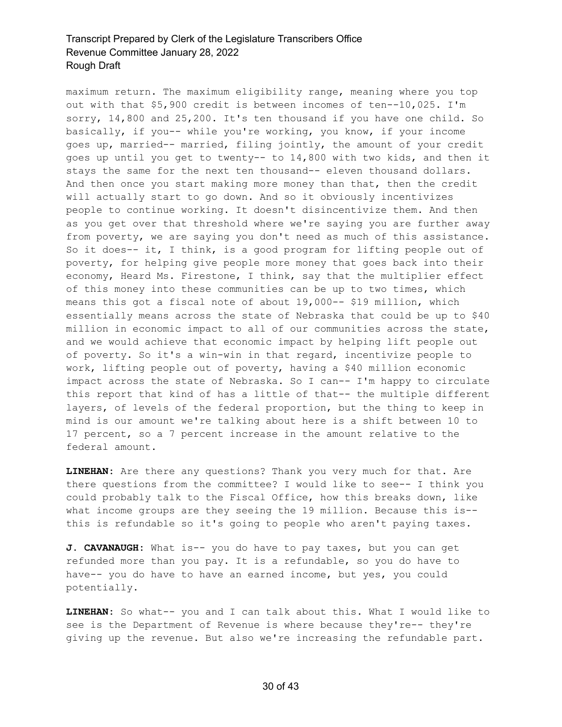maximum return. The maximum eligibility range, meaning where you top out with that \$5,900 credit is between incomes of ten--10,025. I'm sorry, 14,800 and 25,200. It's ten thousand if you have one child. So basically, if you-- while you're working, you know, if your income goes up, married-- married, filing jointly, the amount of your credit goes up until you get to twenty-- to 14,800 with two kids, and then it stays the same for the next ten thousand-- eleven thousand dollars. And then once you start making more money than that, then the credit will actually start to go down. And so it obviously incentivizes people to continue working. It doesn't disincentivize them. And then as you get over that threshold where we're saying you are further away from poverty, we are saying you don't need as much of this assistance. So it does-- it, I think, is a good program for lifting people out of poverty, for helping give people more money that goes back into their economy, Heard Ms. Firestone, I think, say that the multiplier effect of this money into these communities can be up to two times, which means this got a fiscal note of about 19,000-- \$19 million, which essentially means across the state of Nebraska that could be up to \$40 million in economic impact to all of our communities across the state, and we would achieve that economic impact by helping lift people out of poverty. So it's a win-win in that regard, incentivize people to work, lifting people out of poverty, having a \$40 million economic impact across the state of Nebraska. So I can-- I'm happy to circulate this report that kind of has a little of that-- the multiple different layers, of levels of the federal proportion, but the thing to keep in mind is our amount we're talking about here is a shift between 10 to 17 percent, so a 7 percent increase in the amount relative to the federal amount.

**LINEHAN:** Are there any questions? Thank you very much for that. Are there questions from the committee? I would like to see-- I think you could probably talk to the Fiscal Office, how this breaks down, like what income groups are they seeing the 19 million. Because this is- this is refundable so it's going to people who aren't paying taxes.

**J. CAVANAUGH:** What is-- you do have to pay taxes, but you can get refunded more than you pay. It is a refundable, so you do have to have-- you do have to have an earned income, but yes, you could potentially.

**LINEHAN:** So what-- you and I can talk about this. What I would like to see is the Department of Revenue is where because they're-- they're giving up the revenue. But also we're increasing the refundable part.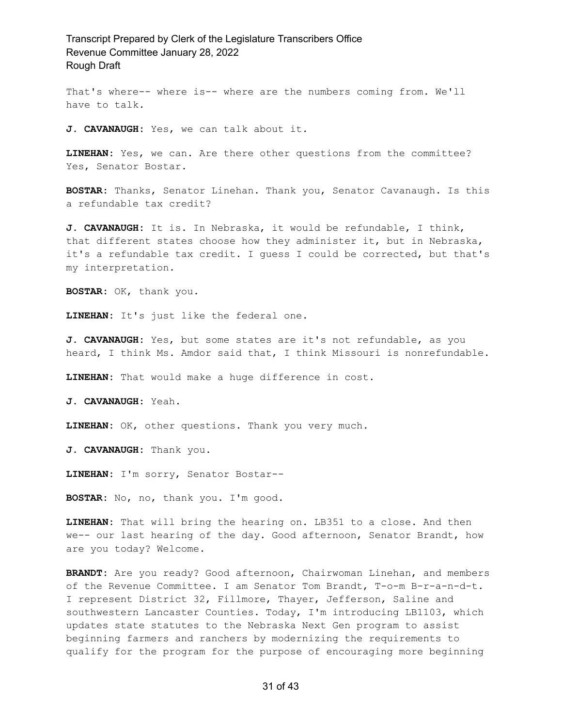That's where-- where is-- where are the numbers coming from. We'll have to talk.

**J. CAVANAUGH:** Yes, we can talk about it.

**LINEHAN:** Yes, we can. Are there other questions from the committee? Yes, Senator Bostar.

**BOSTAR:** Thanks, Senator Linehan. Thank you, Senator Cavanaugh. Is this a refundable tax credit?

**J. CAVANAUGH:** It is. In Nebraska, it would be refundable, I think, that different states choose how they administer it, but in Nebraska, it's a refundable tax credit. I guess I could be corrected, but that's my interpretation.

**BOSTAR:** OK, thank you.

**LINEHAN:** It's just like the federal one.

**J. CAVANAUGH:** Yes, but some states are it's not refundable, as you heard, I think Ms. Amdor said that, I think Missouri is nonrefundable.

**LINEHAN:** That would make a huge difference in cost.

**J. CAVANAUGH:** Yeah.

**LINEHAN:** OK, other questions. Thank you very much.

**J. CAVANAUGH:** Thank you.

**LINEHAN:** I'm sorry, Senator Bostar--

**BOSTAR:** No, no, thank you. I'm good.

**LINEHAN:** That will bring the hearing on. LB351 to a close. And then we-- our last hearing of the day. Good afternoon, Senator Brandt, how are you today? Welcome.

**BRANDT:** Are you ready? Good afternoon, Chairwoman Linehan, and members of the Revenue Committee. I am Senator Tom Brandt, T-o-m B-r-a-n-d-t. I represent District 32, Fillmore, Thayer, Jefferson, Saline and southwestern Lancaster Counties. Today, I'm introducing LB1103, which updates state statutes to the Nebraska Next Gen program to assist beginning farmers and ranchers by modernizing the requirements to qualify for the program for the purpose of encouraging more beginning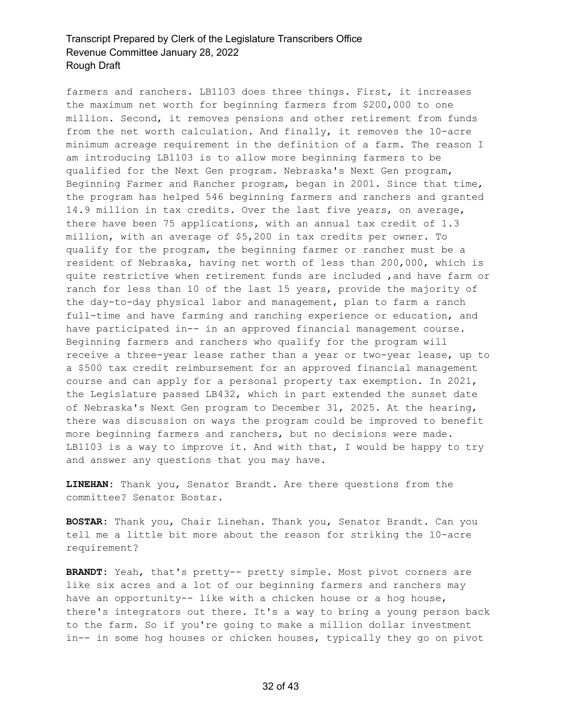farmers and ranchers. LB1103 does three things. First, it increases the maximum net worth for beginning farmers from \$200,000 to one million. Second, it removes pensions and other retirement from funds from the net worth calculation. And finally, it removes the 10-acre minimum acreage requirement in the definition of a farm. The reason I am introducing LB1103 is to allow more beginning farmers to be qualified for the Next Gen program. Nebraska's Next Gen program, Beginning Farmer and Rancher program, began in 2001. Since that time, the program has helped 546 beginning farmers and ranchers and granted 14.9 million in tax credits. Over the last five years, on average, there have been 75 applications, with an annual tax credit of 1.3 million, with an average of \$5,200 in tax credits per owner. To qualify for the program, the beginning farmer or rancher must be a resident of Nebraska, having net worth of less than 200,000, which is quite restrictive when retirement funds are included ,and have farm or ranch for less than 10 of the last 15 years, provide the majority of the day-to-day physical labor and management, plan to farm a ranch full-time and have farming and ranching experience or education, and have participated in-- in an approved financial management course. Beginning farmers and ranchers who qualify for the program will receive a three-year lease rather than a year or two-year lease, up to a \$500 tax credit reimbursement for an approved financial management course and can apply for a personal property tax exemption. In 2021, the Legislature passed LB432, which in part extended the sunset date of Nebraska's Next Gen program to December 31, 2025. At the hearing, there was discussion on ways the program could be improved to benefit more beginning farmers and ranchers, but no decisions were made. LB1103 is a way to improve it. And with that, I would be happy to try and answer any questions that you may have.

**LINEHAN:** Thank you, Senator Brandt. Are there questions from the committee? Senator Bostar.

**BOSTAR:** Thank you, Chair Linehan. Thank you, Senator Brandt. Can you tell me a little bit more about the reason for striking the 10-acre requirement?

**BRANDT:** Yeah, that's pretty-- pretty simple. Most pivot corners are like six acres and a lot of our beginning farmers and ranchers may have an opportunity-- like with a chicken house or a hog house, there's integrators out there. It's a way to bring a young person back to the farm. So if you're going to make a million dollar investment in-- in some hog houses or chicken houses, typically they go on pivot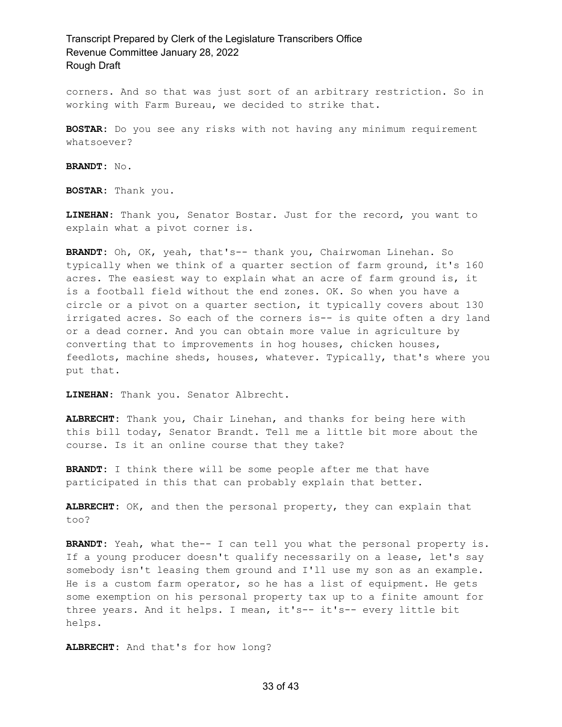corners. And so that was just sort of an arbitrary restriction. So in working with Farm Bureau, we decided to strike that.

**BOSTAR:** Do you see any risks with not having any minimum requirement whatsoever?

**BRANDT:** No.

**BOSTAR:** Thank you.

**LINEHAN:** Thank you, Senator Bostar. Just for the record, you want to explain what a pivot corner is.

**BRANDT:** Oh, OK, yeah, that's-- thank you, Chairwoman Linehan. So typically when we think of a quarter section of farm ground, it's 160 acres. The easiest way to explain what an acre of farm ground is, it is a football field without the end zones. OK. So when you have a circle or a pivot on a quarter section, it typically covers about 130 irrigated acres. So each of the corners is-- is quite often a dry land or a dead corner. And you can obtain more value in agriculture by converting that to improvements in hog houses, chicken houses, feedlots, machine sheds, houses, whatever. Typically, that's where you put that.

**LINEHAN:** Thank you. Senator Albrecht.

**ALBRECHT:** Thank you, Chair Linehan, and thanks for being here with this bill today, Senator Brandt. Tell me a little bit more about the course. Is it an online course that they take?

**BRANDT:** I think there will be some people after me that have participated in this that can probably explain that better.

**ALBRECHT:** OK, and then the personal property, they can explain that too?

**BRANDT:** Yeah, what the-- I can tell you what the personal property is. If a young producer doesn't qualify necessarily on a lease, let's say somebody isn't leasing them ground and I'll use my son as an example. He is a custom farm operator, so he has a list of equipment. He gets some exemption on his personal property tax up to a finite amount for three years. And it helps. I mean, it's-- it's-- every little bit helps.

**ALBRECHT:** And that's for how long?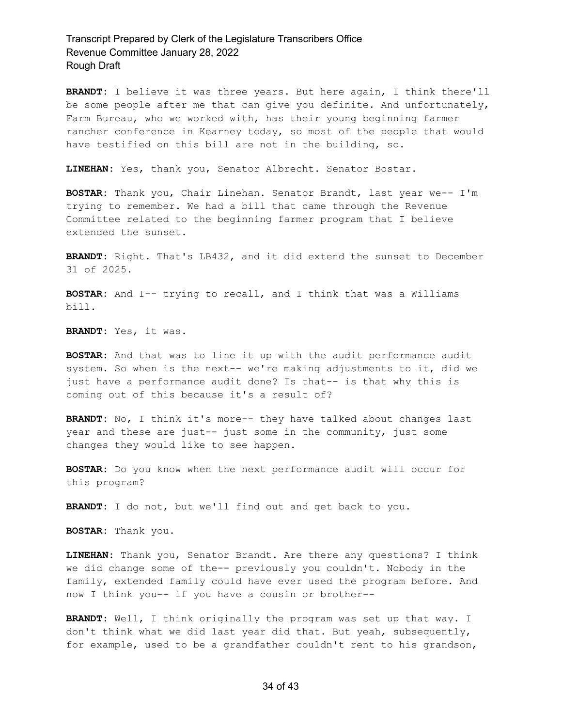**BRANDT:** I believe it was three years. But here again, I think there'll be some people after me that can give you definite. And unfortunately, Farm Bureau, who we worked with, has their young beginning farmer rancher conference in Kearney today, so most of the people that would have testified on this bill are not in the building, so.

**LINEHAN:** Yes, thank you, Senator Albrecht. Senator Bostar.

**BOSTAR:** Thank you, Chair Linehan. Senator Brandt, last year we-- I'm trying to remember. We had a bill that came through the Revenue Committee related to the beginning farmer program that I believe extended the sunset.

**BRANDT:** Right. That's LB432, and it did extend the sunset to December 31 of 2025.

**BOSTAR:** And I-- trying to recall, and I think that was a Williams bill.

**BRANDT:** Yes, it was.

**BOSTAR:** And that was to line it up with the audit performance audit system. So when is the next-- we're making adjustments to it, did we just have a performance audit done? Is that-- is that why this is coming out of this because it's a result of?

**BRANDT:** No, I think it's more-- they have talked about changes last year and these are just-- just some in the community, just some changes they would like to see happen.

**BOSTAR:** Do you know when the next performance audit will occur for this program?

**BRANDT:** I do not, but we'll find out and get back to you.

**BOSTAR:** Thank you.

**LINEHAN:** Thank you, Senator Brandt. Are there any questions? I think we did change some of the-- previously you couldn't. Nobody in the family, extended family could have ever used the program before. And now I think you-- if you have a cousin or brother--

**BRANDT:** Well, I think originally the program was set up that way. I don't think what we did last year did that. But yeah, subsequently, for example, used to be a grandfather couldn't rent to his grandson,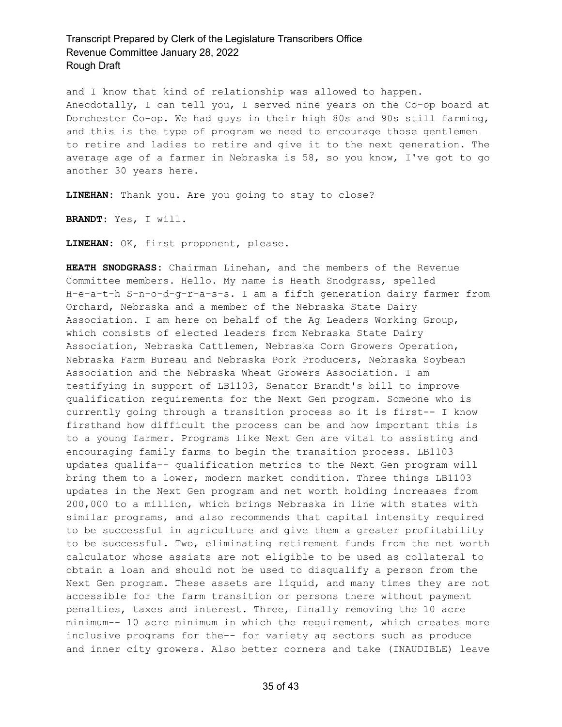and I know that kind of relationship was allowed to happen. Anecdotally, I can tell you, I served nine years on the Co-op board at Dorchester Co-op. We had guys in their high 80s and 90s still farming, and this is the type of program we need to encourage those gentlemen to retire and ladies to retire and give it to the next generation. The average age of a farmer in Nebraska is 58, so you know, I've got to go another 30 years here.

**LINEHAN:** Thank you. Are you going to stay to close?

**BRANDT:** Yes, I will.

**LINEHAN:** OK, first proponent, please.

**HEATH SNODGRASS:** Chairman Linehan, and the members of the Revenue Committee members. Hello. My name is Heath Snodgrass, spelled H-e-a-t-h S-n-o-d-g-r-a-s-s. I am a fifth generation dairy farmer from Orchard, Nebraska and a member of the Nebraska State Dairy Association. I am here on behalf of the Ag Leaders Working Group, which consists of elected leaders from Nebraska State Dairy Association, Nebraska Cattlemen, Nebraska Corn Growers Operation, Nebraska Farm Bureau and Nebraska Pork Producers, Nebraska Soybean Association and the Nebraska Wheat Growers Association. I am testifying in support of LB1103, Senator Brandt's bill to improve qualification requirements for the Next Gen program. Someone who is currently going through a transition process so it is first-- I know firsthand how difficult the process can be and how important this is to a young farmer. Programs like Next Gen are vital to assisting and encouraging family farms to begin the transition process. LB1103 updates qualifa-- qualification metrics to the Next Gen program will bring them to a lower, modern market condition. Three things LB1103 updates in the Next Gen program and net worth holding increases from 200,000 to a million, which brings Nebraska in line with states with similar programs, and also recommends that capital intensity required to be successful in agriculture and give them a greater profitability to be successful. Two, eliminating retirement funds from the net worth calculator whose assists are not eligible to be used as collateral to obtain a loan and should not be used to disqualify a person from the Next Gen program. These assets are liquid, and many times they are not accessible for the farm transition or persons there without payment penalties, taxes and interest. Three, finally removing the 10 acre minimum-- 10 acre minimum in which the requirement, which creates more inclusive programs for the-- for variety ag sectors such as produce and inner city growers. Also better corners and take (INAUDIBLE) leave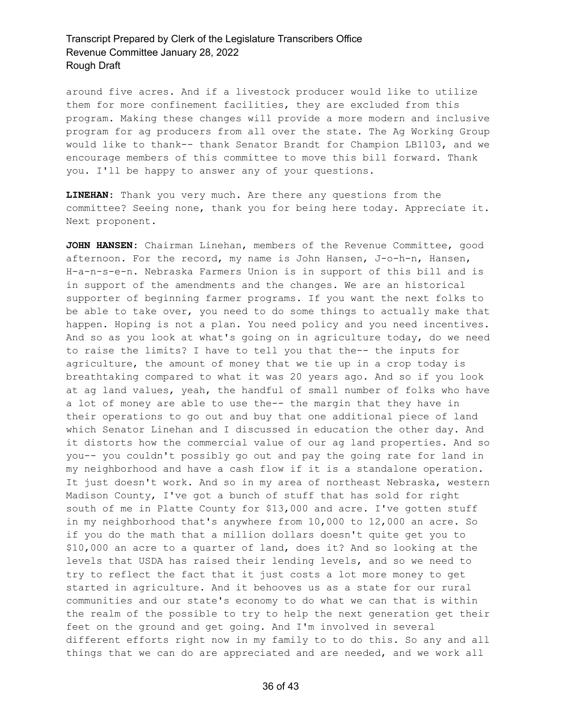around five acres. And if a livestock producer would like to utilize them for more confinement facilities, they are excluded from this program. Making these changes will provide a more modern and inclusive program for ag producers from all over the state. The Ag Working Group would like to thank-- thank Senator Brandt for Champion LB1103, and we encourage members of this committee to move this bill forward. Thank you. I'll be happy to answer any of your questions.

**LINEHAN:** Thank you very much. Are there any questions from the committee? Seeing none, thank you for being here today. Appreciate it. Next proponent.

**JOHN HANSEN:** Chairman Linehan, members of the Revenue Committee, good afternoon. For the record, my name is John Hansen, J-o-h-n, Hansen, H-a-n-s-e-n. Nebraska Farmers Union is in support of this bill and is in support of the amendments and the changes. We are an historical supporter of beginning farmer programs. If you want the next folks to be able to take over, you need to do some things to actually make that happen. Hoping is not a plan. You need policy and you need incentives. And so as you look at what's going on in agriculture today, do we need to raise the limits? I have to tell you that the-- the inputs for agriculture, the amount of money that we tie up in a crop today is breathtaking compared to what it was 20 years ago. And so if you look at ag land values, yeah, the handful of small number of folks who have a lot of money are able to use the-- the margin that they have in their operations to go out and buy that one additional piece of land which Senator Linehan and I discussed in education the other day. And it distorts how the commercial value of our ag land properties. And so you-- you couldn't possibly go out and pay the going rate for land in my neighborhood and have a cash flow if it is a standalone operation. It just doesn't work. And so in my area of northeast Nebraska, western Madison County, I've got a bunch of stuff that has sold for right south of me in Platte County for \$13,000 and acre. I've gotten stuff in my neighborhood that's anywhere from 10,000 to 12,000 an acre. So if you do the math that a million dollars doesn't quite get you to \$10,000 an acre to a quarter of land, does it? And so looking at the levels that USDA has raised their lending levels, and so we need to try to reflect the fact that it just costs a lot more money to get started in agriculture. And it behooves us as a state for our rural communities and our state's economy to do what we can that is within the realm of the possible to try to help the next generation get their feet on the ground and get going. And I'm involved in several different efforts right now in my family to to do this. So any and all things that we can do are appreciated and are needed, and we work all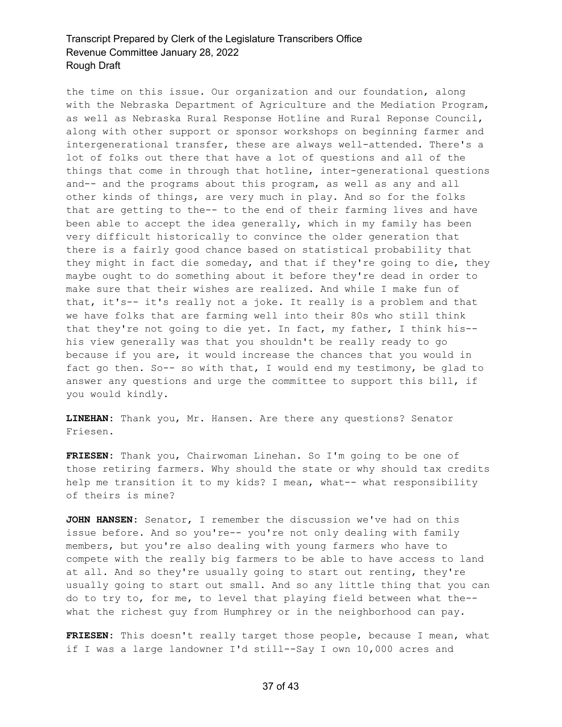the time on this issue. Our organization and our foundation, along with the Nebraska Department of Agriculture and the Mediation Program, as well as Nebraska Rural Response Hotline and Rural Reponse Council, along with other support or sponsor workshops on beginning farmer and intergenerational transfer, these are always well-attended. There's a lot of folks out there that have a lot of questions and all of the things that come in through that hotline, inter-generational questions and-- and the programs about this program, as well as any and all other kinds of things, are very much in play. And so for the folks that are getting to the-- to the end of their farming lives and have been able to accept the idea generally, which in my family has been very difficult historically to convince the older generation that there is a fairly good chance based on statistical probability that they might in fact die someday, and that if they're going to die, they maybe ought to do something about it before they're dead in order to make sure that their wishes are realized. And while I make fun of that, it's-- it's really not a joke. It really is a problem and that we have folks that are farming well into their 80s who still think that they're not going to die yet. In fact, my father, I think his- his view generally was that you shouldn't be really ready to go because if you are, it would increase the chances that you would in fact go then. So-- so with that, I would end my testimony, be glad to answer any questions and urge the committee to support this bill, if you would kindly.

**LINEHAN:** Thank you, Mr. Hansen. Are there any questions? Senator Friesen.

**FRIESEN:** Thank you, Chairwoman Linehan. So I'm going to be one of those retiring farmers. Why should the state or why should tax credits help me transition it to my kids? I mean, what-- what responsibility of theirs is mine?

**JOHN HANSEN:** Senator, I remember the discussion we've had on this issue before. And so you're-- you're not only dealing with family members, but you're also dealing with young farmers who have to compete with the really big farmers to be able to have access to land at all. And so they're usually going to start out renting, they're usually going to start out small. And so any little thing that you can do to try to, for me, to level that playing field between what the- what the richest guy from Humphrey or in the neighborhood can pay.

**FRIESEN:** This doesn't really target those people, because I mean, what if I was a large landowner I'd still--Say I own 10,000 acres and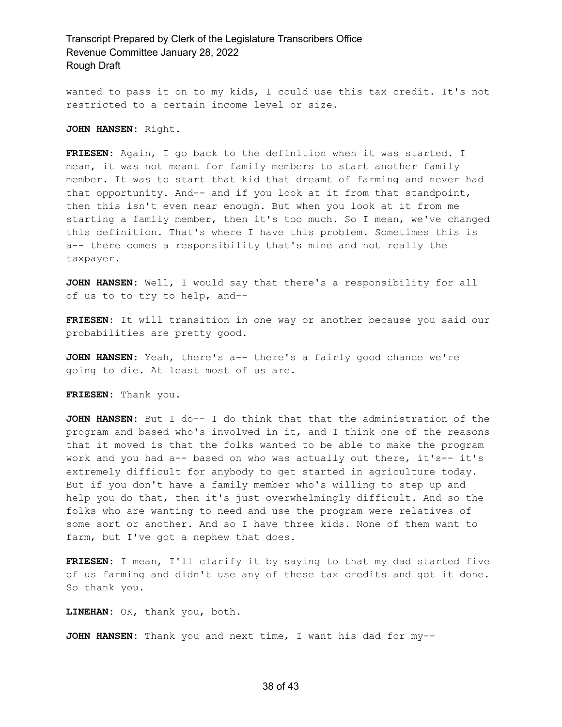wanted to pass it on to my kids, I could use this tax credit. It's not restricted to a certain income level or size.

**JOHN HANSEN:** Right.

**FRIESEN:** Again, I go back to the definition when it was started. I mean, it was not meant for family members to start another family member. It was to start that kid that dreamt of farming and never had that opportunity. And-- and if you look at it from that standpoint, then this isn't even near enough. But when you look at it from me starting a family member, then it's too much. So I mean, we've changed this definition. That's where I have this problem. Sometimes this is a-- there comes a responsibility that's mine and not really the taxpayer.

**JOHN HANSEN:** Well, I would say that there's a responsibility for all of us to to try to help, and--

**FRIESEN:** It will transition in one way or another because you said our probabilities are pretty good.

**JOHN HANSEN:** Yeah, there's a-- there's a fairly good chance we're going to die. At least most of us are.

**FRIESEN:** Thank you.

**JOHN HANSEN:** But I do-- I do think that that the administration of the program and based who's involved in it, and I think one of the reasons that it moved is that the folks wanted to be able to make the program work and you had a-- based on who was actually out there, it's-- it's extremely difficult for anybody to get started in agriculture today. But if you don't have a family member who's willing to step up and help you do that, then it's just overwhelmingly difficult. And so the folks who are wanting to need and use the program were relatives of some sort or another. And so I have three kids. None of them want to farm, but I've got a nephew that does.

**FRIESEN:** I mean, I'll clarify it by saying to that my dad started five of us farming and didn't use any of these tax credits and got it done. So thank you.

**LINEHAN:** OK, thank you, both.

**JOHN HANSEN:** Thank you and next time, I want his dad for my--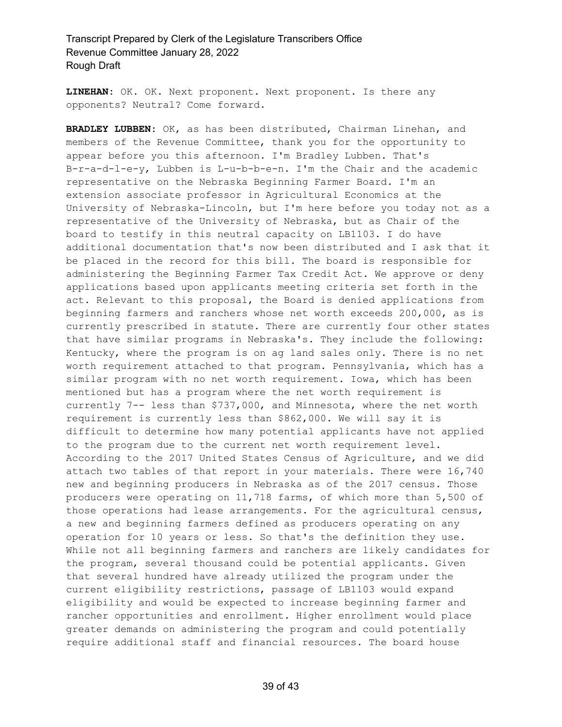**LINEHAN:** OK. OK. Next proponent. Next proponent. Is there any opponents? Neutral? Come forward.

**BRADLEY LUBBEN:** OK, as has been distributed, Chairman Linehan, and members of the Revenue Committee, thank you for the opportunity to appear before you this afternoon. I'm Bradley Lubben. That's B-r-a-d-l-e-y, Lubben is L-u-b-b-e-n. I'm the Chair and the academic representative on the Nebraska Beginning Farmer Board. I'm an extension associate professor in Agricultural Economics at the University of Nebraska-Lincoln, but I'm here before you today not as a representative of the University of Nebraska, but as Chair of the board to testify in this neutral capacity on LB1103. I do have additional documentation that's now been distributed and I ask that it be placed in the record for this bill. The board is responsible for administering the Beginning Farmer Tax Credit Act. We approve or deny applications based upon applicants meeting criteria set forth in the act. Relevant to this proposal, the Board is denied applications from beginning farmers and ranchers whose net worth exceeds 200,000, as is currently prescribed in statute. There are currently four other states that have similar programs in Nebraska's. They include the following: Kentucky, where the program is on ag land sales only. There is no net worth requirement attached to that program. Pennsylvania, which has a similar program with no net worth requirement. Iowa, which has been mentioned but has a program where the net worth requirement is currently 7-- less than \$737,000, and Minnesota, where the net worth requirement is currently less than \$862,000. We will say it is difficult to determine how many potential applicants have not applied to the program due to the current net worth requirement level. According to the 2017 United States Census of Agriculture, and we did attach two tables of that report in your materials. There were 16,740 new and beginning producers in Nebraska as of the 2017 census. Those producers were operating on 11,718 farms, of which more than 5,500 of those operations had lease arrangements. For the agricultural census, a new and beginning farmers defined as producers operating on any operation for 10 years or less. So that's the definition they use. While not all beginning farmers and ranchers are likely candidates for the program, several thousand could be potential applicants. Given that several hundred have already utilized the program under the current eligibility restrictions, passage of LB1103 would expand eligibility and would be expected to increase beginning farmer and rancher opportunities and enrollment. Higher enrollment would place greater demands on administering the program and could potentially require additional staff and financial resources. The board house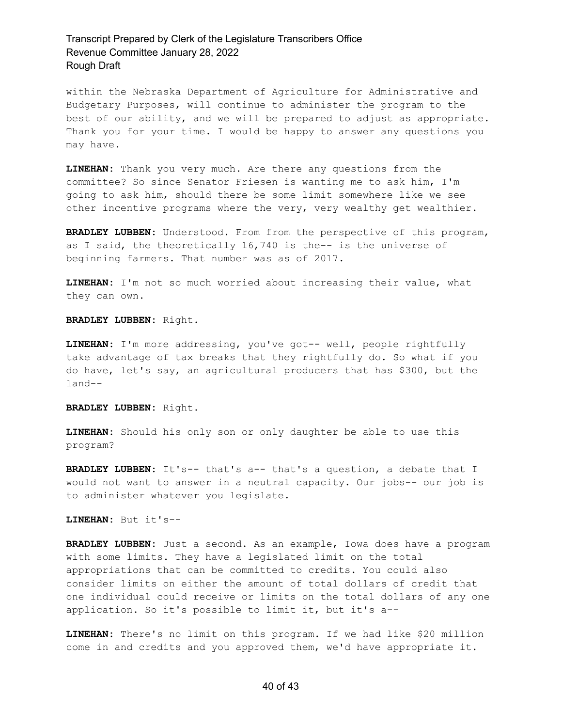within the Nebraska Department of Agriculture for Administrative and Budgetary Purposes, will continue to administer the program to the best of our ability, and we will be prepared to adjust as appropriate. Thank you for your time. I would be happy to answer any questions you may have.

**LINEHAN:** Thank you very much. Are there any questions from the committee? So since Senator Friesen is wanting me to ask him, I'm going to ask him, should there be some limit somewhere like we see other incentive programs where the very, very wealthy get wealthier.

**BRADLEY LUBBEN:** Understood. From from the perspective of this program, as I said, the theoretically 16,740 is the-- is the universe of beginning farmers. That number was as of 2017.

**LINEHAN:** I'm not so much worried about increasing their value, what they can own.

**BRADLEY LUBBEN:** Right.

**LINEHAN:** I'm more addressing, you've got-- well, people rightfully take advantage of tax breaks that they rightfully do. So what if you do have, let's say, an agricultural producers that has \$300, but the land--

**BRADLEY LUBBEN:** Right.

**LINEHAN:** Should his only son or only daughter be able to use this program?

**BRADLEY LUBBEN:** It's-- that's a-- that's a question, a debate that I would not want to answer in a neutral capacity. Our jobs-- our job is to administer whatever you legislate.

**LINEHAN:** But it's--

**BRADLEY LUBBEN:** Just a second. As an example, Iowa does have a program with some limits. They have a legislated limit on the total appropriations that can be committed to credits. You could also consider limits on either the amount of total dollars of credit that one individual could receive or limits on the total dollars of any one application. So it's possible to limit it, but it's a--

**LINEHAN:** There's no limit on this program. If we had like \$20 million come in and credits and you approved them, we'd have appropriate it.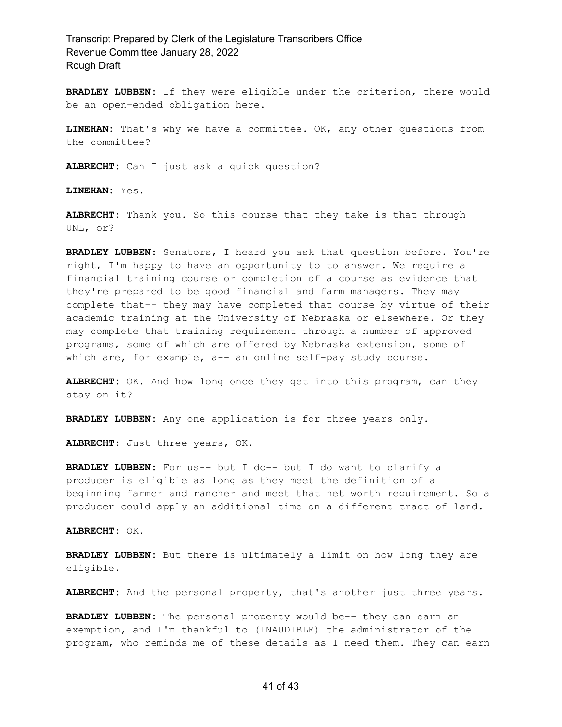**BRADLEY LUBBEN:** If they were eligible under the criterion, there would be an open-ended obligation here.

**LINEHAN:** That's why we have a committee. OK, any other questions from the committee?

**ALBRECHT:** Can I just ask a quick question?

**LINEHAN:** Yes.

**ALBRECHT:** Thank you. So this course that they take is that through UNL, or?

**BRADLEY LUBBEN:** Senators, I heard you ask that question before. You're right, I'm happy to have an opportunity to to answer. We require a financial training course or completion of a course as evidence that they're prepared to be good financial and farm managers. They may complete that-- they may have completed that course by virtue of their academic training at the University of Nebraska or elsewhere. Or they may complete that training requirement through a number of approved programs, some of which are offered by Nebraska extension, some of which are, for example, a-- an online self-pay study course.

**ALBRECHT:** OK. And how long once they get into this program, can they stay on it?

**BRADLEY LUBBEN:** Any one application is for three years only.

**ALBRECHT:** Just three years, OK.

**BRADLEY LUBBEN:** For us-- but I do-- but I do want to clarify a producer is eligible as long as they meet the definition of a beginning farmer and rancher and meet that net worth requirement. So a producer could apply an additional time on a different tract of land.

**ALBRECHT:** OK.

**BRADLEY LUBBEN:** But there is ultimately a limit on how long they are eligible.

**ALBRECHT:** And the personal property, that's another just three years.

**BRADLEY LUBBEN:** The personal property would be-- they can earn an exemption, and I'm thankful to (INAUDIBLE) the administrator of the program, who reminds me of these details as I need them. They can earn

#### 41 of 43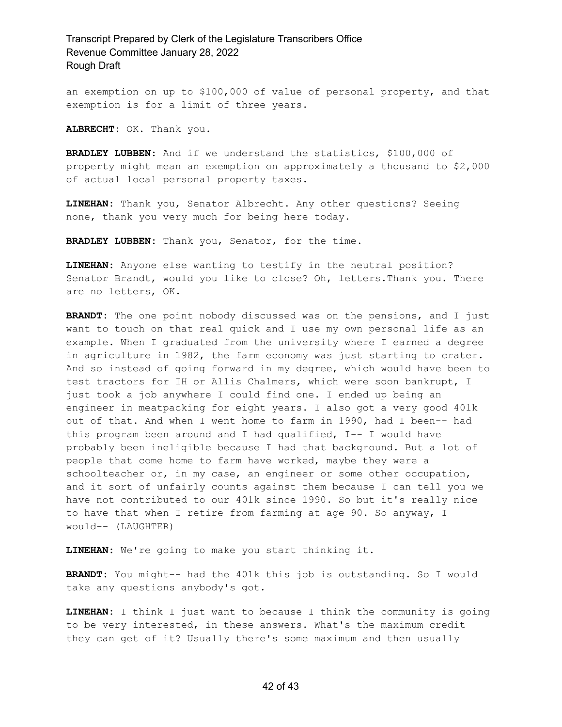an exemption on up to \$100,000 of value of personal property, and that exemption is for a limit of three years.

**ALBRECHT:** OK. Thank you.

**BRADLEY LUBBEN:** And if we understand the statistics, \$100,000 of property might mean an exemption on approximately a thousand to \$2,000 of actual local personal property taxes.

**LINEHAN:** Thank you, Senator Albrecht. Any other questions? Seeing none, thank you very much for being here today.

**BRADLEY LUBBEN:** Thank you, Senator, for the time.

**LINEHAN:** Anyone else wanting to testify in the neutral position? Senator Brandt, would you like to close? Oh, letters.Thank you. There are no letters, OK.

**BRANDT:** The one point nobody discussed was on the pensions, and I just want to touch on that real quick and I use my own personal life as an example. When I graduated from the university where I earned a degree in agriculture in 1982, the farm economy was just starting to crater. And so instead of going forward in my degree, which would have been to test tractors for IH or Allis Chalmers, which were soon bankrupt, I just took a job anywhere I could find one. I ended up being an engineer in meatpacking for eight years. I also got a very good 401k out of that. And when I went home to farm in 1990, had I been-- had this program been around and I had qualified, I-- I would have probably been ineligible because I had that background. But a lot of people that come home to farm have worked, maybe they were a schoolteacher or, in my case, an engineer or some other occupation, and it sort of unfairly counts against them because I can tell you we have not contributed to our 401k since 1990. So but it's really nice to have that when I retire from farming at age 90. So anyway, I would-- (LAUGHTER)

**LINEHAN:** We're going to make you start thinking it.

**BRANDT:** You might-- had the 401k this job is outstanding. So I would take any questions anybody's got.

**LINEHAN:** I think I just want to because I think the community is going to be very interested, in these answers. What's the maximum credit they can get of it? Usually there's some maximum and then usually